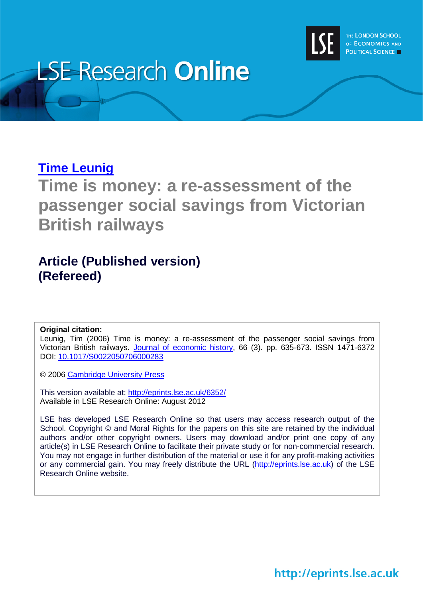

# **LSE Research Online**

# **Time [Leunig](http://www2.lse.ac.uk/researchAndExpertise/Experts/profile.aspx?KeyValue=t.leunig@lse.ac.uk)**

**Time is money: a re-assessment of the passenger social savings from Victorian British railways**

# **Article (Published version) (Refereed)**

**Original citation:**

Leunig, Tim (2006) Time is money: a re-assessment of the passenger social savings from Victorian British railways. [Journal of economic history,](http://journals.cambridge.org/action/displayJournal?jid=JEH) 66 (3). pp. 635-673. ISSN 1471-6372 DOI: [10.1017/S0022050706000283](http://dx.doi.org/10.1017/S0022050706000283)

© 2006 [Cambridge University Press](http://www.cambridge.org/)

This version available at:<http://eprints.lse.ac.uk/6352/> Available in LSE Research Online: August 2012

LSE has developed LSE Research Online so that users may access research output of the School. Copyright © and Moral Rights for the papers on this site are retained by the individual authors and/or other copyright owners. Users may download and/or print one copy of any article(s) in LSE Research Online to facilitate their private study or for non-commercial research. You may not engage in further distribution of the material or use it for any profit-making activities or any commercial gain. You may freely distribute the URL (http://eprints.lse.ac.uk) of the LSE Research Online website.

http://eprints.lse.ac.uk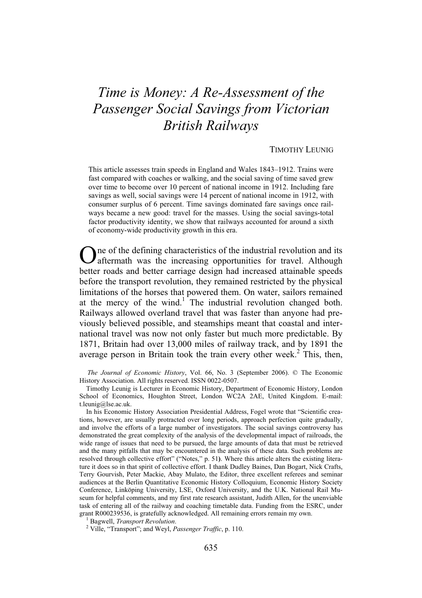# *Time is Money: A Re-Assessment of the Passenger Social Savings from Victorian British Railways*

### TIMOTHY LEUNIG

This article assesses train speeds in England and Wales 1843–1912. Trains were fast compared with coaches or walking, and the social saving of time saved grew over time to become over 10 percent of national income in 1912. Including fare savings as well, social savings were 14 percent of national income in 1912, with consumer surplus of 6 percent. Time savings dominated fare savings once railways became a new good: travel for the masses. Using the social savings-total factor productivity identity, we show that railways accounted for around a sixth of economy-wide productivity growth in this era.

ne of the defining characteristics of the industrial revolution and its One of the defining characteristics of the industrial revolution and its aftermath was the increasing opportunities for travel. Although better roads and better carriage design had increased attainable speeds before the transport revolution, they remained restricted by the physical limitations of the horses that powered them. On water, sailors remained at the mercy of the wind.<sup>1</sup> The industrial revolution changed both. Railways allowed overland travel that was faster than anyone had previously believed possible, and steamships meant that coastal and international travel was now not only faster but much more predictable. By 1871, Britain had over 13,000 miles of railway track, and by 1891 the average person in Britain took the train every other week.<sup>2</sup> This, then,

*The Journal of Economic History*, Vol. 66, No. 3 (September 2006). © The Economic History Association. All rights reserved. ISSN 0022-0507.

Timothy Leunig is Lecturer in Economic History, Department of Economic History, London School of Economics, Houghton Street, London WC2A 2AE, United Kingdom. E-mail: t.leunig@lse.ac.uk.

In his Economic History Association Presidential Address, Fogel wrote that "Scientific creations, however, are usually protracted over long periods, approach perfection quite gradually, and involve the efforts of a large number of investigators. The social savings controversy has demonstrated the great complexity of the analysis of the developmental impact of railroads, the wide range of issues that need to be pursued, the large amounts of data that must be retrieved and the many pitfalls that may be encountered in the analysis of these data. Such problems are resolved through collective effort" ("Notes," p. 51**)**. Where this article alters the existing literature it does so in that spirit of collective effort. I thank Dudley Baines, Dan Bogart, Nick Crafts, Terry Gourvish, Peter Mackie, Abay Mulato, the Editor, three excellent referees and seminar audiences at the Berlin Quantitative Economic History Colloquium, Economic History Society Conference, Linköping University, LSE, Oxford University, and the U.K. National Rail Museum for helpful comments, and my first rate research assistant, Judith Allen, for the unenviable task of entering all of the railway and coaching timetable data. Funding from the ESRC, under grant R000239536, is gratefully acknowledged. All remaining errors remain my own. 1

Bagwell, *Transport Revolution*. <sup>2</sup>

Ville, "Transport"; and Weyl, *Passenger Traffic*, p. 110.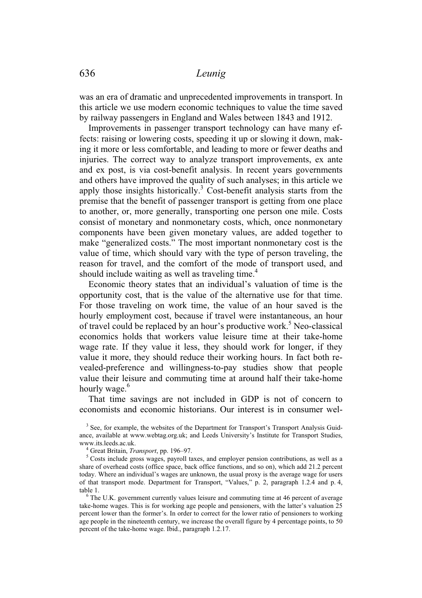was an era of dramatic and unprecedented improvements in transport. In this article we use modern economic techniques to value the time saved by railway passengers in England and Wales between 1843 and 1912.

 Improvements in passenger transport technology can have many effects: raising or lowering costs, speeding it up or slowing it down, making it more or less comfortable, and leading to more or fewer deaths and injuries. The correct way to analyze transport improvements, ex ante and ex post, is via cost-benefit analysis. In recent years governments and others have improved the quality of such analyses; in this article we apply those insights historically.<sup>3</sup> Cost-benefit analysis starts from the premise that the benefit of passenger transport is getting from one place to another, or, more generally, transporting one person one mile. Costs consist of monetary and nonmonetary costs, which, once nonmonetary components have been given monetary values, are added together to make "generalized costs." The most important nonmonetary cost is the value of time, which should vary with the type of person traveling, the reason for travel, and the comfort of the mode of transport used, and should include waiting as well as traveling time.<sup>4</sup>

 Economic theory states that an individual's valuation of time is the opportunity cost, that is the value of the alternative use for that time. For those traveling on work time, the value of an hour saved is the hourly employment cost, because if travel were instantaneous, an hour of travel could be replaced by an hour's productive work.<sup>5</sup> Neo-classical economics holds that workers value leisure time at their take-home wage rate. If they value it less, they should work for longer, if they value it more, they should reduce their working hours. In fact both revealed-preference and willingness-to-pay studies show that people value their leisure and commuting time at around half their take-home hourly wage.<sup>6</sup>

 That time savings are not included in GDP is not of concern to economists and economic historians. Our interest is in consumer wel-

<sup>3</sup> See, for example, the websites of the Department for Transport's Transport Analysis Guidance, available at www.webtag.org.uk; and Leeds University's Institute for Transport Studies, www.its.leeds.ac.uk. 4

Great Britain, *Transport*, pp. 196–97. 5

 $<sup>5</sup>$  Costs include gross wages, payroll taxes, and employer pension contributions, as well as a</sup> share of overhead costs (office space, back office functions, and so on), which add 21.2 percent today. Where an individual's wages are unknown, the usual proxy is the average wage for users of that transport mode. Department for Transport, "Values," p. 2, paragraph 1.2.4 and p. 4, table 1.

 $6$  The U.K. government currently values leisure and commuting time at 46 percent of average take-home wages. This is for working age people and pensioners, with the latter's valuation 25 percent lower than the former's. In order to correct for the lower ratio of pensioners to working age people in the nineteenth century, we increase the overall figure by 4 percentage points, to 50 percent of the take-home wage. Ibid., paragraph 1.2.17.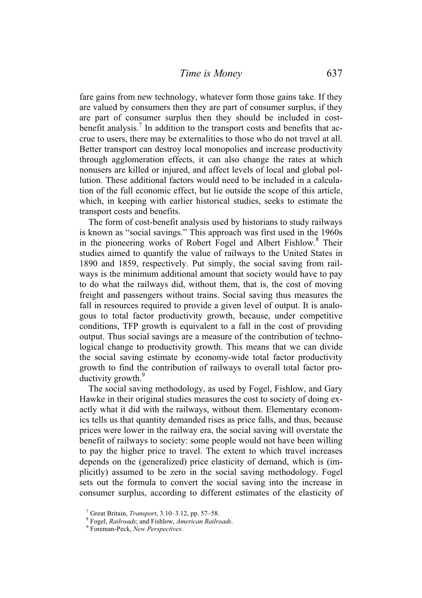fare gains from new technology, whatever form those gains take. If they are valued by consumers then they are part of consumer surplus, if they are part of consumer surplus then they should be included in costbenefit analysis.<sup>7</sup> In addition to the transport costs and benefits that accrue to users, there may be externalities to those who do not travel at all. Better transport can destroy local monopolies and increase productivity through agglomeration effects, it can also change the rates at which nonusers are killed or injured, and affect levels of local and global pollution. These additional factors would need to be included in a calculation of the full economic effect, but lie outside the scope of this article, which, in keeping with earlier historical studies, seeks to estimate the transport costs and benefits.

 The form of cost-benefit analysis used by historians to study railways is known as "social savings." This approach was first used in the 1960s in the pioneering works of Robert Fogel and Albert Fishlow.<sup>8</sup> Their studies aimed to quantify the value of railways to the United States in 1890 and 1859, respectively. Put simply, the social saving from railways is the minimum additional amount that society would have to pay to do what the railways did, without them, that is, the cost of moving freight and passengers without trains. Social saving thus measures the fall in resources required to provide a given level of output. It is analogous to total factor productivity growth, because, under competitive conditions, TFP growth is equivalent to a fall in the cost of providing output. Thus social savings are a measure of the contribution of technological change to productivity growth. This means that we can divide the social saving estimate by economy-wide total factor productivity growth to find the contribution of railways to overall total factor productivity growth.<sup>9</sup>

 The social saving methodology, as used by Fogel, Fishlow, and Gary Hawke in their original studies measures the cost to society of doing exactly what it did with the railways, without them. Elementary economics tells us that quantity demanded rises as price falls, and thus, because prices were lower in the railway era, the social saving will overstate the benefit of railways to society: some people would not have been willing to pay the higher price to travel. The extent to which travel increases depends on the (generalized) price elasticity of demand, which is (implicitly) assumed to be zero in the social saving methodology. Fogel sets out the formula to convert the social saving into the increase in consumer surplus, according to different estimates of the elasticity of

<sup>&</sup>lt;sup>7</sup> Great Britain, *Transport*, 3.10–3.12, pp. 57–58.<br><sup>8</sup> Eogal, *Railroads:* and Eisblow, *American Railroads* 

Fogel, *Railroads*; and Fishlow, *American Railroads*. <sup>9</sup>

Foreman-Peck, *New Perspectives*.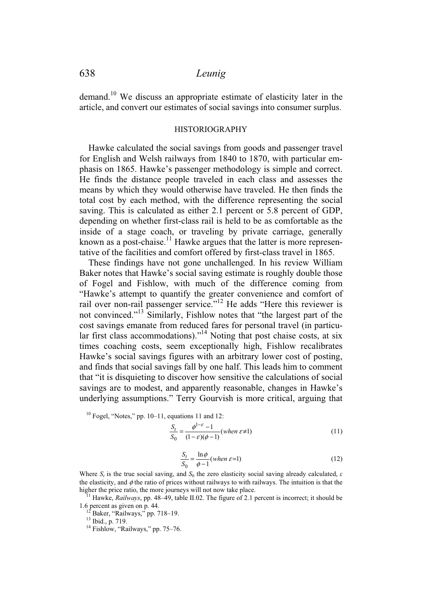demand.<sup>10</sup> We discuss an appropriate estimate of elasticity later in the article, and convert our estimates of social savings into consumer surplus.

#### HISTORIOGRAPHY

 Hawke calculated the social savings from goods and passenger travel for English and Welsh railways from 1840 to 1870, with particular emphasis on 1865. Hawke's passenger methodology is simple and correct. He finds the distance people traveled in each class and assesses the means by which they would otherwise have traveled. He then finds the total cost by each method, with the difference representing the social saving. This is calculated as either 2.1 percent or 5.8 percent of GDP, depending on whether first-class rail is held to be as comfortable as the inside of a stage coach, or traveling by private carriage, generally known as a post-chaise.<sup>11</sup> Hawke argues that the latter is more representative of the facilities and comfort offered by first-class travel in 1865.

 These findings have not gone unchallenged. In his review William Baker notes that Hawke's social saving estimate is roughly double those of Fogel and Fishlow, with much of the difference coming from "Hawke's attempt to quantify the greater convenience and comfort of rail over non-rail passenger service."12 He adds "Here this reviewer is not convinced."13 Similarly, Fishlow notes that "the largest part of the cost savings emanate from reduced fares for personal travel (in particular first class accommodations)."<sup>14</sup> Noting that post chaise costs, at six times coaching costs, seem exceptionally high, Fishlow recalibrates Hawke's social savings figures with an arbitrary lower cost of posting, and finds that social savings fall by one half. This leads him to comment that "it is disquieting to discover how sensitive the calculations of social savings are to modest, and apparently reasonable, changes in Hawke's underlying assumptions." Terry Gourvish is more critical, arguing that

 $10$  Fogel, "Notes," pp. 10–11, equations 11 and 12:

$$
\frac{S_t}{S_0} = \frac{\phi^{1-\varepsilon} - 1}{(1-\varepsilon)(\phi - 1)}(when \varepsilon \neq 1)
$$
\n(11)

$$
\frac{S_t}{S_0} = \frac{\ln \phi}{\phi - 1} (when \ \varepsilon = 1)
$$
\n(12)

Where  $S_t$  is the true social saving, and  $S_0$  the zero elasticity social saving already calculated,  $\varepsilon$ the elasticity, and  $\phi$  the ratio of prices without railways to with railways. The intuition is that the higher the price ratio, the more journeys will not now take place.

<sup>11</sup> Hawke, *Railways*, pp. 48–49, table II.02. The figure of 2.1 percent is incorrect; it should be 1.6 percent as given on p. 44.<br><sup>12</sup> Baker, "Railways," pp. 718–19.

<sup>13</sup> Ibid., p. 719.

 $14$  Fishlow, "Railways," pp. 75–76.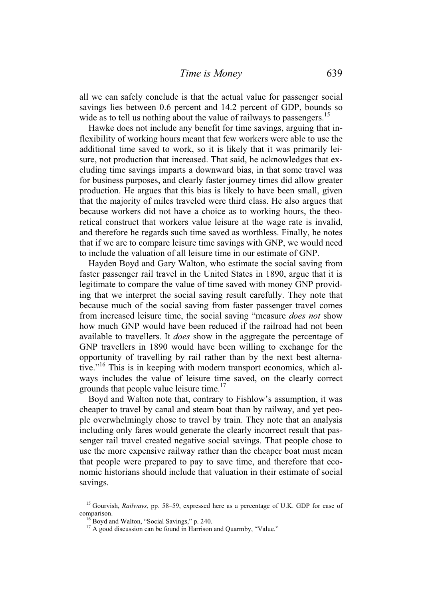all we can safely conclude is that the actual value for passenger social savings lies between 0.6 percent and 14.2 percent of GDP, bounds so wide as to tell us nothing about the value of railways to passengers.<sup>15</sup>

 Hawke does not include any benefit for time savings, arguing that inflexibility of working hours meant that few workers were able to use the additional time saved to work, so it is likely that it was primarily leisure, not production that increased. That said, he acknowledges that excluding time savings imparts a downward bias, in that some travel was for business purposes, and clearly faster journey times did allow greater production. He argues that this bias is likely to have been small, given that the majority of miles traveled were third class. He also argues that because workers did not have a choice as to working hours, the theoretical construct that workers value leisure at the wage rate is invalid, and therefore he regards such time saved as worthless. Finally, he notes that if we are to compare leisure time savings with GNP, we would need to include the valuation of all leisure time in our estimate of GNP.

 Hayden Boyd and Gary Walton, who estimate the social saving from faster passenger rail travel in the United States in 1890, argue that it is legitimate to compare the value of time saved with money GNP providing that we interpret the social saving result carefully. They note that because much of the social saving from faster passenger travel comes from increased leisure time, the social saving "measure *does not* show how much GNP would have been reduced if the railroad had not been available to travellers. It *does* show in the aggregate the percentage of GNP travellers in 1890 would have been willing to exchange for the opportunity of travelling by rail rather than by the next best alternative."16 This is in keeping with modern transport economics, which always includes the value of leisure time saved, on the clearly correct grounds that people value leisure time.<sup>17</sup>

 Boyd and Walton note that, contrary to Fishlow's assumption, it was cheaper to travel by canal and steam boat than by railway, and yet people overwhelmingly chose to travel by train. They note that an analysis including only fares would generate the clearly incorrect result that passenger rail travel created negative social savings. That people chose to use the more expensive railway rather than the cheaper boat must mean that people were prepared to pay to save time, and therefore that economic historians should include that valuation in their estimate of social savings.

<sup>15</sup> Gourvish, *Railways*, pp. 58–59, expressed here as a percentage of U.K. GDP for ease of comparison.<br><sup>16</sup> Boyd and Walton, "Social Savings," p. 240.

 $17$  A good discussion can be found in Harrison and Quarmby, "Value."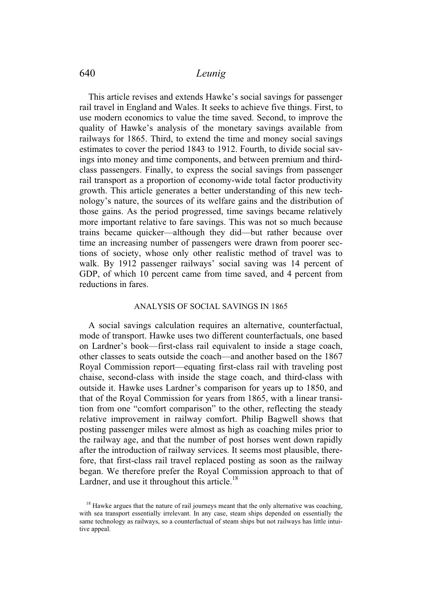This article revises and extends Hawke's social savings for passenger rail travel in England and Wales. It seeks to achieve five things. First, to use modern economics to value the time saved. Second, to improve the quality of Hawke's analysis of the monetary savings available from railways for 1865. Third, to extend the time and money social savings estimates to cover the period 1843 to 1912. Fourth, to divide social savings into money and time components, and between premium and thirdclass passengers. Finally, to express the social savings from passenger rail transport as a proportion of economy-wide total factor productivity growth. This article generates a better understanding of this new technology's nature, the sources of its welfare gains and the distribution of those gains. As the period progressed, time savings became relatively more important relative to fare savings. This was not so much because trains became quicker—although they did—but rather because over time an increasing number of passengers were drawn from poorer sections of society, whose only other realistic method of travel was to walk. By 1912 passenger railways' social saving was 14 percent of GDP, of which 10 percent came from time saved, and 4 percent from reductions in fares.

#### ANALYSIS OF SOCIAL SAVINGS IN 1865

 A social savings calculation requires an alternative, counterfactual, mode of transport. Hawke uses two different counterfactuals, one based on Lardner's book—first-class rail equivalent to inside a stage coach, other classes to seats outside the coach—and another based on the 1867 Royal Commission report—equating first-class rail with traveling post chaise, second-class with inside the stage coach, and third-class with outside it. Hawke uses Lardner's comparison for years up to 1850, and that of the Royal Commission for years from 1865, with a linear transition from one "comfort comparison" to the other, reflecting the steady relative improvement in railway comfort. Philip Bagwell shows that posting passenger miles were almost as high as coaching miles prior to the railway age, and that the number of post horses went down rapidly after the introduction of railway services. It seems most plausible, therefore, that first-class rail travel replaced posting as soon as the railway began. We therefore prefer the Royal Commission approach to that of Lardner, and use it throughout this article.<sup>18</sup>

 $18$  Hawke argues that the nature of rail journeys meant that the only alternative was coaching, with sea transport essentially irrelevant. In any case, steam ships depended on essentially the same technology as railways, so a counterfactual of steam ships but not railways has little intuitive appeal.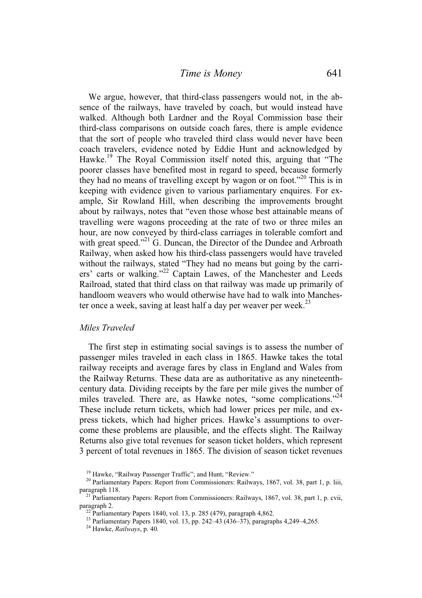We argue, however, that third-class passengers would not, in the absence of the railways, have traveled by coach, but would instead have walked. Although both Lardner and the Royal Commission base their third-class comparisons on outside coach fares, there is ample evidence that the sort of people who traveled third class would never have been coach travelers, evidence noted by Eddie Hunt and acknowledged by Hawke.<sup>19</sup> The Royal Commission itself noted this, arguing that "The poorer classes have benefited most in regard to speed, because formerly they had no means of travelling except by wagon or on foot."<sup>20</sup> This is in keeping with evidence given to various parliamentary enquires. For example, Sir Rowland Hill, when describing the improvements brought about by railways, notes that "even those whose best attainable means of travelling were wagons proceeding at the rate of two or three miles an hour, are now conveyed by third-class carriages in tolerable comfort and with great speed."<sup>21</sup> G. Duncan, the Director of the Dundee and Arbroath Railway, when asked how his third-class passengers would have traveled without the railways, stated "They had no means but going by the carriers' carts or walking."<sup>22</sup> Captain Lawes, of the Manchester and Leeds Railroad, stated that third class on that railway was made up primarily of handloom weavers who would otherwise have had to walk into Manchester once a week, saving at least half a day per weaver per week.<sup>23</sup>

## *Miles Traveled*

 The first step in estimating social savings is to assess the number of passenger miles traveled in each class in 1865. Hawke takes the total railway receipts and average fares by class in England and Wales from the Railway Returns. These data are as authoritative as any nineteenthcentury data. Dividing receipts by the fare per mile gives the number of miles traveled. There are, as Hawke notes, "some complications."<sup>24</sup> These include return tickets, which had lower prices per mile, and express tickets, which had higher prices. Hawke's assumptions to overcome these problems are plausible, and the effects slight. The Railway Returns also give total revenues for season ticket holders, which represent 3 percent of total revenues in 1865. The division of season ticket revenues

<sup>&</sup>lt;sup>19</sup> Hawke, "Railway Passenger Traffic"; and Hunt, "Review."

<sup>&</sup>lt;sup>20</sup> Parliamentary Papers: Report from Commissioners: Railways, 1867, vol. 38, part 1, p. liii, paragraph 118.

<sup>&</sup>lt;sup>21</sup> Parliamentary Papers: Report from Commissioners: Railways, 1867, vol. 38, part 1, p. cvii, paragraph 2.

 $^{22}$  Parliamentary Papers 1840, vol. 13, p. 285 (479), paragraph 4,862.

<sup>23</sup> Parliamentary Papers 1840, vol. 13, pp. 242–43 (436–37), paragraphs 4,249–4,265.

<sup>24</sup> Hawke, *Railways*, p. 40.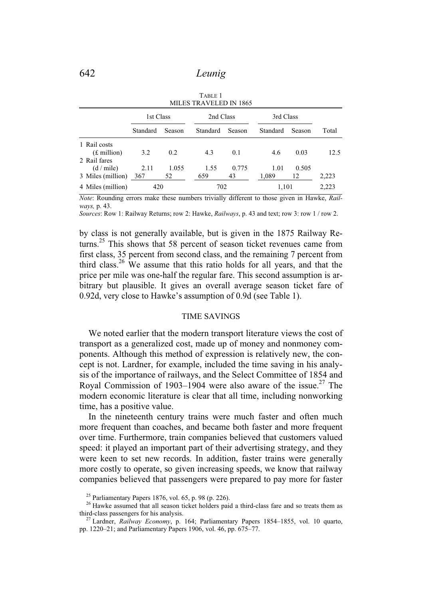| $MILLU$ IN $NILLU$ IN $100J$ |           |        |          |           |          |           |       |
|------------------------------|-----------|--------|----------|-----------|----------|-----------|-------|
|                              | 1st Class |        |          | 2nd Class |          | 3rd Class |       |
|                              | Standard  | Season | Standard | Season    | Standard | Season    | Total |
| 1 Rail costs                 |           |        |          |           |          |           |       |
| $(f.$ million)               | 3.2       | 0.2    | 4.3      | 0.1       | 4.6      | 0.03      | 12.5  |
| 2 Rail fares                 |           |        |          |           |          |           |       |
| (d / mile)                   | 2.11      | 1.055  | 1.55     | 0.775     | 1.01     | 0.505     |       |
| 3 Miles (million)            | 367       | 52     | 659      | 43        | 1.089    | 12        | 2,223 |
| 4 Miles (million)            | 420       |        | 702      |           | 1,101    |           | 2,223 |

| TABLE 1                       |
|-------------------------------|
| <b>MILES TRAVELED IN 1865</b> |

*Note*: Rounding errors make these numbers trivially different to those given in Hawke, *Railways,* p. 43.

*Sources*: Row 1: Railway Returns; row 2: Hawke, *Railways*, p. 43 and text; row 3: row 1 / row 2.

by class is not generally available, but is given in the 1875 Railway Returns.<sup>25</sup> This shows that 58 percent of season ticket revenues came from first class, 35 percent from second class, and the remaining 7 percent from third class.<sup>26</sup> We assume that this ratio holds for all years, and that the price per mile was one-half the regular fare. This second assumption is arbitrary but plausible. It gives an overall average season ticket fare of 0.92d, very close to Hawke's assumption of 0.9d (see Table 1).

## TIME SAVINGS

 We noted earlier that the modern transport literature views the cost of transport as a generalized cost, made up of money and nonmoney components. Although this method of expression is relatively new, the concept is not. Lardner, for example, included the time saving in his analysis of the importance of railways, and the Select Committee of 1854 and Royal Commission of 1903–1904 were also aware of the issue.<sup>27</sup> The modern economic literature is clear that all time, including nonworking time, has a positive value.

 In the nineteenth century trains were much faster and often much more frequent than coaches, and became both faster and more frequent over time. Furthermore, train companies believed that customers valued speed: it played an important part of their advertising strategy, and they were keen to set new records. In addition, faster trains were generally more costly to operate, so given increasing speeds, we know that railway companies believed that passengers were prepared to pay more for faster

<sup>25</sup> Parliamentary Papers 1876, vol. 65, p. 98 (p. 226).

<sup>&</sup>lt;sup>26</sup> Hawke assumed that all season ticket holders paid a third-class fare and so treats them as third-class passengers for his analysis. 27 Lardner, *Railway Economy*, p. 164; Parliamentary Papers 1854–1855, vol. 10 quarto,

pp. 1220–21; and Parliamentary Papers 1906, vol. 46, pp. 675–77.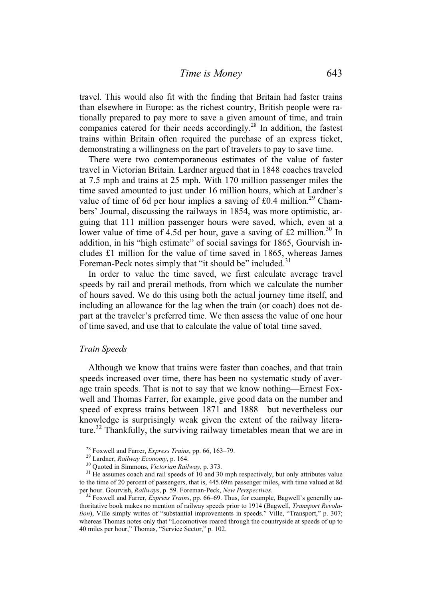travel. This would also fit with the finding that Britain had faster trains than elsewhere in Europe: as the richest country, British people were rationally prepared to pay more to save a given amount of time, and train companies catered for their needs accordingly.28 In addition, the fastest trains within Britain often required the purchase of an express ticket, demonstrating a willingness on the part of travelers to pay to save time.

 There were two contemporaneous estimates of the value of faster travel in Victorian Britain. Lardner argued that in 1848 coaches traveled at 7.5 mph and trains at 25 mph. With 170 million passenger miles the time saved amounted to just under 16 million hours, which at Lardner's value of time of 6d per hour implies a saving of  $\text{\pounds}0.4$  million.<sup>29</sup> Chambers' Journal, discussing the railways in 1854, was more optimistic, arguing that 111 million passenger hours were saved, which, even at a lower value of time of 4.5d per hour, gave a saving of £2 million.<sup>30</sup> In addition, in his "high estimate" of social savings for 1865, Gourvish includes £1 million for the value of time saved in 1865, whereas James Foreman-Peck notes simply that "it should be" included.<sup>31</sup>

 In order to value the time saved, we first calculate average travel speeds by rail and prerail methods, from which we calculate the number of hours saved. We do this using both the actual journey time itself, and including an allowance for the lag when the train (or coach) does not depart at the traveler's preferred time. We then assess the value of one hour of time saved, and use that to calculate the value of total time saved.

## *Train Speeds*

Although we know that trains were faster than coaches, and that train speeds increased over time, there has been no systematic study of average train speeds. That is not to say that we know nothing—Ernest Foxwell and Thomas Farrer, for example, give good data on the number and speed of express trains between 1871 and 1888—but nevertheless our knowledge is surprisingly weak given the extent of the railway literature.<sup>32</sup> Thankfully, the surviving railway timetables mean that we are in

<sup>32</sup> Foxwell and Farrer, *Express Trains*, pp. 66–69. Thus, for example, Bagwell's generally authoritative book makes no mention of railway speeds prior to 1914 (Bagwell, *Transport Revolution*), Ville simply writes of "substantial improvements in speeds." Ville, "Transport," p. 307; whereas Thomas notes only that "Locomotives roared through the countryside at speeds of up to 40 miles per hour," Thomas, "Service Sector," p. 102.

<sup>&</sup>lt;sup>28</sup> Foxwell and Farrer, *Express Trains*, pp. 66, 163–79.<br><sup>29</sup> Lardner, *Railway Economy*, p. 164.<br><sup>30</sup> Quoted in Simmons, *Victorian Railway*, p. 373.<br><sup>31</sup> He assumes coach and rail speeds of 10 and 30 mph respectively, to the time of 20 percent of passengers, that is, 445.69m passenger miles, with time valued at 8d per hour. Gourvish, *Railways*, p. 59. Foreman-Peck, *New Perspectives*.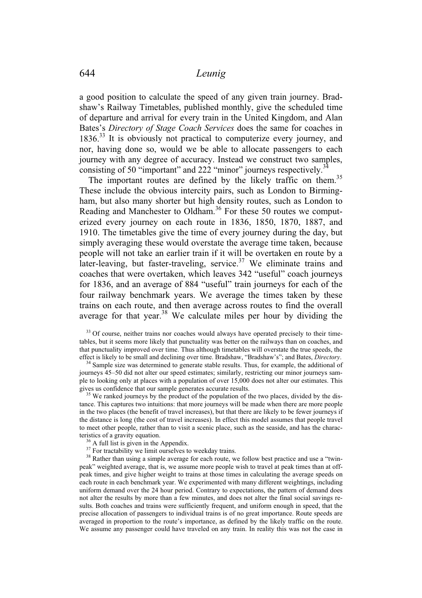a good position to calculate the speed of any given train journey. Bradshaw's Railway Timetables, published monthly, give the scheduled time of departure and arrival for every train in the United Kingdom, and Alan Bates's *Directory of Stage Coach Services* does the same for coaches in  $1836<sup>33</sup>$  It is obviously not practical to computerize every journey, and nor, having done so, would we be able to allocate passengers to each journey with any degree of accuracy. Instead we construct two samples, consisting of 50 "important" and 222 "minor" journeys respectively.<sup>34</sup>

The important routes are defined by the likely traffic on them.<sup>35</sup> These include the obvious intercity pairs, such as London to Birmingham, but also many shorter but high density routes, such as London to Reading and Manchester to Oldham.<sup>36</sup> For these 50 routes we computerized every journey on each route in 1836, 1850, 1870, 1887, and 1910. The timetables give the time of every journey during the day, but simply averaging these would overstate the average time taken, because people will not take an earlier train if it will be overtaken en route by a later-leaving, but faster-traveling, service.<sup>37</sup> We eliminate trains and coaches that were overtaken, which leaves 342 "useful" coach journeys for 1836, and an average of 884 "useful" train journeys for each of the four railway benchmark years. We average the times taken by these trains on each route, and then average across routes to find the overall average for that year.38 We calculate miles per hour by dividing the

 $35$  We ranked journeys by the product of the population of the two places, divided by the distance. This captures two intuitions: that more journeys will be made when there are more people in the two places (the benefit of travel increases), but that there are likely to be fewer journeys if the distance is long (the cost of travel increases). In effect this model assumes that people travel to meet other people, rather than to visit a scenic place, such as the seaside, and has the charac-<br>teristics of a gravity equation. teristics of a gravity equation.<br> $36$  A full list is given in the Appendix.

- 
- $37$  For tractability we limit ourselves to weekday trains.

<sup>38</sup> Rather than using a simple average for each route, we follow best practice and use a "twinpeak" weighted average, that is, we assume more people wish to travel at peak times than at offpeak times, and give higher weight to trains at those times in calculating the average speeds on each route in each benchmark year. We experimented with many different weightings, including uniform demand over the 24 hour period. Contrary to expectations, the pattern of demand does not alter the results by more than a few minutes, and does not alter the final social savings results. Both coaches and trains were sufficiently frequent, and uniform enough in speed, that the precise allocation of passengers to individual trains is of no great importance. Route speeds are averaged in proportion to the route's importance, as defined by the likely traffic on the route. We assume any passenger could have traveled on any train. In reality this was not the case in

 $33$  Of course, neither trains nor coaches would always have operated precisely to their timetables, but it seems more likely that punctuality was better on the railways than on coaches, and that punctuality improved over time. Thus although timetables will overstate the true speeds, the effect is likely to be small and declining over time. Bradshaw, "Bradshaw's"; and Bates, Directory.

<sup>&</sup>lt;sup>4</sup> Sample size was determined to generate stable results. Thus, for example, the additional of journeys 45–50 did not alter our speed estimates; similarly, restricting our minor journeys sample to looking only at places with a population of over 15,000 does not alter our estimates. This gives us confidence that our sample generates accurate results.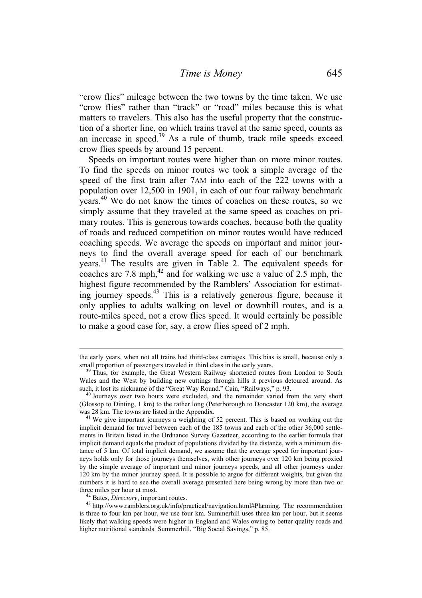"crow flies" mileage between the two towns by the time taken. We use "crow flies" rather than "track" or "road" miles because this is what matters to travelers. This also has the useful property that the construction of a shorter line, on which trains travel at the same speed, counts as an increase in speed.<sup>39</sup> As a rule of thumb, track mile speeds exceed crow flies speeds by around 15 percent.

 Speeds on important routes were higher than on more minor routes. To find the speeds on minor routes we took a simple average of the speed of the first train after 7AM into each of the 222 towns with a population over 12,500 in 1901, in each of our four railway benchmark years.<sup>40</sup> We do not know the times of coaches on these routes, so we simply assume that they traveled at the same speed as coaches on primary routes. This is generous towards coaches, because both the quality of roads and reduced competition on minor routes would have reduced coaching speeds. We average the speeds on important and minor journeys to find the overall average speed for each of our benchmark years.41 The results are given in Table 2. The equivalent speeds for coaches are 7.8 mph,  $42$  and for walking we use a value of 2.5 mph, the highest figure recommended by the Ramblers' Association for estimating journey speeds.43 This is a relatively generous figure, because it only applies to adults walking on level or downhill routes, and is a route-miles speed, not a crow flies speed. It would certainly be possible to make a good case for, say, a crow flies speed of 2 mph.

 $\overline{a}$ 

the early years, when not all trains had third-class carriages. This bias is small, because only a small proportion of passengers traveled in third class in the early years.

<sup>&</sup>lt;sup>39</sup> Thus, for example, the Great Western Railway shortened routes from London to South Wales and the West by building new cuttings through hills it previous detoured around. As such, it lost its nickname of the "Great Way Round." Cain, "Railways," p. 93.

 $40$  Journeys over two hours were excluded, and the remainder varied from the very short (Glossop to Dinting, 1 km) to the rather long (Peterborough to Doncaster 120 km), the average was 28 km. The towns are listed in the Appendix.

 $41$  We give important journeys a weighting of 52 percent. This is based on working out the implicit demand for travel between each of the 185 towns and each of the other 36,000 settlements in Britain listed in the Ordnance Survey Gazetteer, according to the earlier formula that implicit demand equals the product of populations divided by the distance, with a minimum distance of 5 km. Of total implicit demand, we assume that the average speed for important journeys holds only for those journeys themselves, with other journeys over 120 km being proxied by the simple average of important and minor journeys speeds, and all other journeys under 120 km by the minor journey speed. It is possible to argue for different weights, but given the numbers it is hard to see the overall average presented here being wrong by more than two or

<sup>&</sup>lt;sup>42</sup> Bates, *Directory*, important routes.<br><sup>43</sup> http://www.ramblers.org.uk/info/practical/navigation.html#Planning. The recommendation is three to four km per hour, we use four km. Summerhill uses three km per hour, but it seems likely that walking speeds were higher in England and Wales owing to better quality roads and higher nutritional standards. Summerhill, "Big Social Savings," p. 85.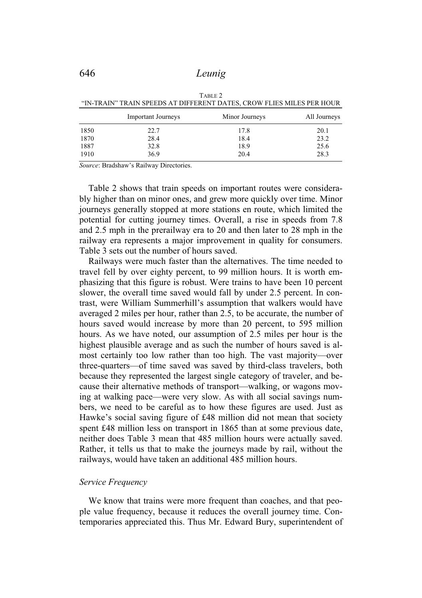|      | <b>Important Journeys</b> | Minor Journeys | All Journeys |
|------|---------------------------|----------------|--------------|
| 1850 | 22.7                      | 17.8           | 20.1         |
| 1870 | 28.4                      | 18.4           | 23.2         |
| 1887 | 32.8                      | 18.9           | 25.6         |
| 1910 | 36.9                      | 20.4           | 28.3         |

TABLE 2 "IN-TRAIN" TRAIN SPEEDS AT DIFFERENT DATES, CROW FLIES MILES PER HOUR

*Source*: Bradshaw's Railway Directories.

 Table 2 shows that train speeds on important routes were considerably higher than on minor ones, and grew more quickly over time. Minor journeys generally stopped at more stations en route, which limited the potential for cutting journey times. Overall, a rise in speeds from 7.8 and 2.5 mph in the prerailway era to 20 and then later to 28 mph in the railway era represents a major improvement in quality for consumers. Table 3 sets out the number of hours saved.

 Railways were much faster than the alternatives. The time needed to travel fell by over eighty percent, to 99 million hours. It is worth emphasizing that this figure is robust. Were trains to have been 10 percent slower, the overall time saved would fall by under 2.5 percent. In contrast, were William Summerhill's assumption that walkers would have averaged 2 miles per hour, rather than 2.5, to be accurate, the number of hours saved would increase by more than 20 percent, to 595 million hours. As we have noted, our assumption of 2.5 miles per hour is the highest plausible average and as such the number of hours saved is almost certainly too low rather than too high. The vast majority—over three-quarters—of time saved was saved by third-class travelers, both because they represented the largest single category of traveler, and because their alternative methods of transport—walking, or wagons moving at walking pace—were very slow. As with all social savings numbers, we need to be careful as to how these figures are used. Just as Hawke's social saving figure of £48 million did not mean that society spent £48 million less on transport in 1865 than at some previous date, neither does Table 3 mean that 485 million hours were actually saved. Rather, it tells us that to make the journeys made by rail, without the railways, would have taken an additional 485 million hours.

## *Service Frequency*

 We know that trains were more frequent than coaches, and that people value frequency, because it reduces the overall journey time. Contemporaries appreciated this. Thus Mr. Edward Bury, superintendent of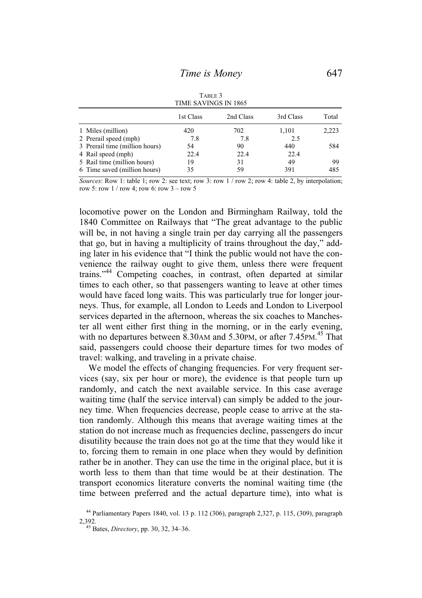| TIME SAVINGS IN 1865           |           |           |           |       |  |
|--------------------------------|-----------|-----------|-----------|-------|--|
|                                | 1st Class | 2nd Class | 3rd Class | Total |  |
| 1 Miles (million)              | 420       | 702       | 1,101     | 2,223 |  |
| 2 Prerail speed (mph)          | 7.8       | 7.8       | 2.5       |       |  |
| 3 Prerail time (million hours) | 54        | 90        | 440       | 584   |  |
| 4 Rail speed (mph)             | 22.4      | 22.4      | 22.4      |       |  |
| 5 Rail time (million hours)    | 19        | 31        | 49        | 99    |  |
| 6 Time saved (million hours)   | 35        | 59        | 391       | 485   |  |

TABLE 3

*Sources*: Row 1: table 1; row 2: see text; row 3: row 1 / row 2; row 4: table 2, by interpolation; row 5: row 1 / row 4; row 6: row 3 – row 5

locomotive power on the London and Birmingham Railway, told the 1840 Committee on Railways that "The great advantage to the public will be, in not having a single train per day carrying all the passengers that go, but in having a multiplicity of trains throughout the day," adding later in his evidence that "I think the public would not have the convenience the railway ought to give them, unless there were frequent trains."44 Competing coaches, in contrast, often departed at similar times to each other, so that passengers wanting to leave at other times would have faced long waits. This was particularly true for longer journeys. Thus, for example, all London to Leeds and London to Liverpool services departed in the afternoon, whereas the six coaches to Manchester all went either first thing in the morning, or in the early evening, with no departures between 8.30AM and 5.30PM, or after 7.45PM.<sup>45</sup> That said, passengers could choose their departure times for two modes of travel: walking, and traveling in a private chaise.

 We model the effects of changing frequencies. For very frequent services (say, six per hour or more), the evidence is that people turn up randomly, and catch the next available service. In this case average waiting time (half the service interval) can simply be added to the journey time. When frequencies decrease, people cease to arrive at the station randomly. Although this means that average waiting times at the station do not increase much as frequencies decline, passengers do incur disutility because the train does not go at the time that they would like it to, forcing them to remain in one place when they would by definition rather be in another. They can use the time in the original place, but it is worth less to them than that time would be at their destination. The transport economics literature converts the nominal waiting time (the time between preferred and the actual departure time), into what is

<sup>44</sup> Parliamentary Papers 1840, vol. 13 p. 112 (306), paragraph 2,327, p. 115, (309), paragraph 2,392. 45 Bates, *Directory*, pp. 30, 32, 34–36.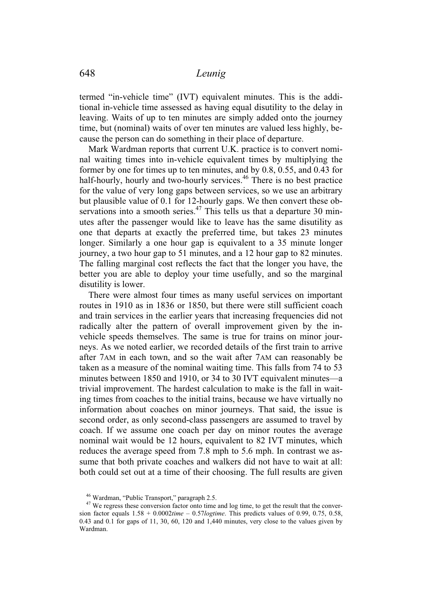termed "in-vehicle time" (IVT) equivalent minutes. This is the additional in-vehicle time assessed as having equal disutility to the delay in leaving. Waits of up to ten minutes are simply added onto the journey time, but (nominal) waits of over ten minutes are valued less highly, because the person can do something in their place of departure.

 Mark Wardman reports that current U.K. practice is to convert nominal waiting times into in-vehicle equivalent times by multiplying the former by one for times up to ten minutes, and by 0.8, 0.55, and 0.43 for half-hourly, hourly and two-hourly services.<sup>46</sup> There is no best practice for the value of very long gaps between services, so we use an arbitrary but plausible value of 0.1 for 12-hourly gaps. We then convert these observations into a smooth series.<sup>47</sup> This tells us that a departure 30 minutes after the passenger would like to leave has the same disutility as one that departs at exactly the preferred time, but takes 23 minutes longer. Similarly a one hour gap is equivalent to a 35 minute longer journey, a two hour gap to 51 minutes, and a 12 hour gap to 82 minutes. The falling marginal cost reflects the fact that the longer you have, the better you are able to deploy your time usefully, and so the marginal disutility is lower.

 There were almost four times as many useful services on important routes in 1910 as in 1836 or 1850, but there were still sufficient coach and train services in the earlier years that increasing frequencies did not radically alter the pattern of overall improvement given by the invehicle speeds themselves. The same is true for trains on minor journeys. As we noted earlier, we recorded details of the first train to arrive after 7AM in each town, and so the wait after 7AM can reasonably be taken as a measure of the nominal waiting time. This falls from 74 to 53 minutes between 1850 and 1910, or 34 to 30 IVT equivalent minutes—a trivial improvement. The hardest calculation to make is the fall in waiting times from coaches to the initial trains, because we have virtually no information about coaches on minor journeys. That said, the issue is second order, as only second-class passengers are assumed to travel by coach. If we assume one coach per day on minor routes the average nominal wait would be 12 hours, equivalent to 82 IVT minutes, which reduces the average speed from 7.8 mph to 5.6 mph. In contrast we assume that both private coaches and walkers did not have to wait at all: both could set out at a time of their choosing. The full results are given

<sup>46</sup> Wardman, "Public Transport," paragraph 2.5.

 $47$  We regress these conversion factor onto time and log time, to get the result that the conversion factor equals 1.58 + 0.0002*time* – 0.57*logtime*. This predicts values of 0.99, 0.75, 0.58, 0.43 and 0.1 for gaps of 11, 30, 60, 120 and 1,440 minutes, very close to the values given by Wardman.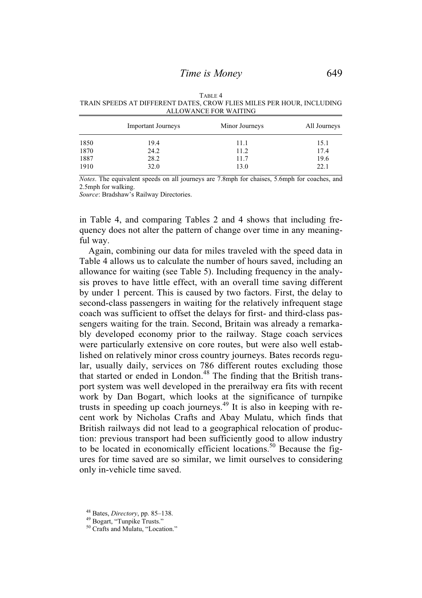TABLE 4 TRAIN SPEEDS AT DIFFERENT DATES, CROW FLIES MILES PER HOUR, INCLUDING ALLOWANCE FOR WAITING

|      | <b>Important Journeys</b> | Minor Journeys | All Journeys |
|------|---------------------------|----------------|--------------|
| 1850 | 19.4                      | 11.1           | 15.1         |
| 1870 | 24.2                      | 11.2           | 17.4         |
| 1887 | 28.2                      | 11.7           | 19.6         |
| 1910 | 32.0                      | 13.0           | 22.1         |

*Notes*. The equivalent speeds on all journeys are 7.8mph for chaises, 5.6mph for coaches, and 2.5mph for walking.

*Source*: Bradshaw's Railway Directories.

in Table 4, and comparing Tables 2 and 4 shows that including frequency does not alter the pattern of change over time in any meaningful way.

 Again, combining our data for miles traveled with the speed data in Table 4 allows us to calculate the number of hours saved, including an allowance for waiting (see Table 5). Including frequency in the analysis proves to have little effect, with an overall time saving different by under 1 percent. This is caused by two factors. First, the delay to second-class passengers in waiting for the relatively infrequent stage coach was sufficient to offset the delays for first- and third-class passengers waiting for the train. Second, Britain was already a remarkably developed economy prior to the railway. Stage coach services were particularly extensive on core routes, but were also well established on relatively minor cross country journeys. Bates records regular, usually daily, services on 786 different routes excluding those that started or ended in London.<sup>48</sup> The finding that the British transport system was well developed in the prerailway era fits with recent work by Dan Bogart, which looks at the significance of turnpike trusts in speeding up coach journeys.49 It is also in keeping with recent work by Nicholas Crafts and Abay Mulatu, which finds that British railways did not lead to a geographical relocation of production: previous transport had been sufficiently good to allow industry to be located in economically efficient locations.<sup>50</sup> Because the figures for time saved are so similar, we limit ourselves to considering only in-vehicle time saved.

<sup>48</sup> Bates, *Directory*, pp. 85–138. 49 Bogart, "Tunpike Trusts."

<sup>&</sup>lt;sup>50</sup> Crafts and Mulatu, "Location."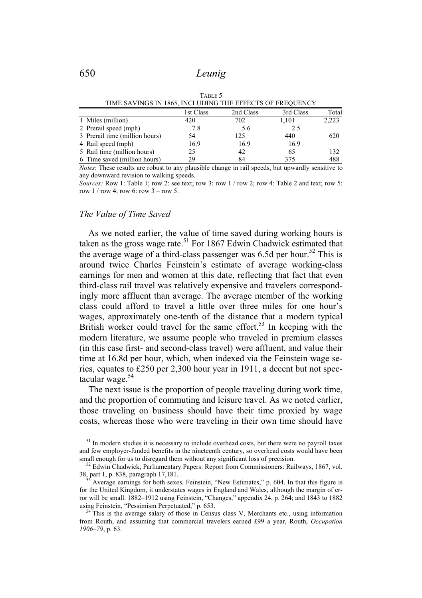| TIME SAVINGS IN 1805, INCLUDING THE EFFECTS OF FREQUENCY |           |           |           |       |  |  |
|----------------------------------------------------------|-----------|-----------|-----------|-------|--|--|
|                                                          | 1st Class | 2nd Class | 3rd Class | Total |  |  |
| 1 Miles (million)                                        | 420       | 702       | 1,101     | 2,223 |  |  |
| 2 Prerail speed (mph)                                    | 7.8       | 5.6       | 2.5       |       |  |  |
| 3 Prerail time (million hours)                           | 54        | 125       | 440       | 620   |  |  |
| 4 Rail speed (mph)                                       | 16.9      | 16.9      | 16.9      |       |  |  |
| 5 Rail time (million hours)                              | 25        | 42        | 65        | 132   |  |  |
| 6 Time saved (million hours)                             | 29        | 84        | 375       | 488   |  |  |

TABLE 5 TIME SAVINGS IN 1965, INCLUDING THE EFFECTS OF FREQUENCY

*Notes*: These results are robust to any plausible change in rail speeds, but upwardly sensitive to any downward revision to walking speeds.

*Sources:* Row 1: Table 1; row 2: see text; row 3: row 1 / row 2; row 4: Table 2 and text; row 5: row 1 / row 4; row 6: row 3 – row 5.

#### *The Value of Time Saved*

As we noted earlier, the value of time saved during working hours is taken as the gross wage rate.<sup>51</sup> For 1867 Edwin Chadwick estimated that the average wage of a third-class passenger was 6.5d per hour.<sup>52</sup> This is around twice Charles Feinstein's estimate of average working-class earnings for men and women at this date, reflecting that fact that even third-class rail travel was relatively expensive and travelers correspondingly more affluent than average. The average member of the working class could afford to travel a little over three miles for one hour's wages, approximately one-tenth of the distance that a modern typical British worker could travel for the same effort.<sup>53</sup> In keeping with the modern literature, we assume people who traveled in premium classes (in this case first- and second-class travel) were affluent, and value their time at 16.8d per hour, which, when indexed via the Feinstein wage series, equates to £250 per 2,300 hour year in 1911, a decent but not spectacular wage. $54$ 

 The next issue is the proportion of people traveling during work time, and the proportion of commuting and leisure travel. As we noted earlier, those traveling on business should have their time proxied by wage costs, whereas those who were traveling in their own time should have

<sup>&</sup>lt;sup>51</sup> In modern studies it is necessary to include overhead costs, but there were no payroll taxes and few employer-funded benefits in the nineteenth century, so overhead costs would have been small enough for us to disregard them without any significant loss of precision.

<sup>&</sup>lt;sup>52</sup> Edwin Chadwick, Parliamentary Papers: Report from Commissioners: Railways, 1867, vol. 38, part 1, p. 838, paragraph 17,181.

Average earnings for both sexes. Feinstein, "New Estimates," p. 604. In that this figure is for the United Kingdom, it understates wages in England and Wales, although the margin of error will be small. 1882–1912 using Feinstein, "Changes," appendix 24, p. 264; and 1843 to 1882

<sup>&</sup>lt;sup>54</sup> This is the average salary of those in Census class V, Merchants etc., using information from Routh, and assuming that commercial travelers earned £99 a year, Routh, *Occupation 1906–79*, p. 63.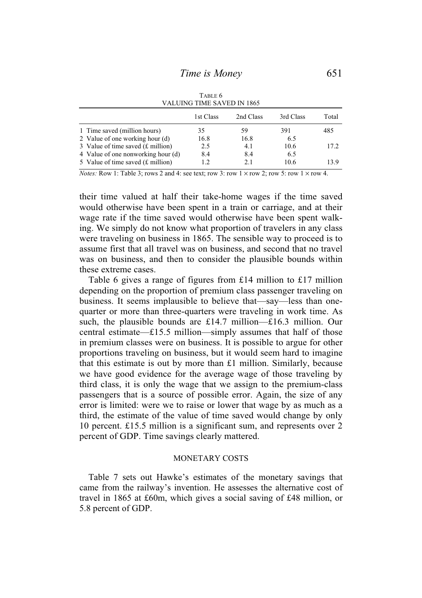| VALUING TIME SAVED IN 1865           |           |           |           |       |  |
|--------------------------------------|-----------|-----------|-----------|-------|--|
|                                      | 1st Class | 2nd Class | 3rd Class | Total |  |
| 1 Time saved (million hours)         | 35        | 59        | 391       | 485   |  |
| 2 Value of one working hour (d)      | 16.8      | 16.8      | 6.5       |       |  |
| 3 Value of time saved $(f.$ million) | 2.5       | 4.1       | 10.6      | 17.2  |  |
| 4 Value of one nonworking hour (d)   | 8.4       | 8.4       | 6.5       |       |  |
| 5 Value of time saved $(f.$ million) | 1.2       | 21        | 10.6      | 13.9  |  |

TABLE 6 VALUING TIME SAVED IN 1865

*Notes:* Row 1: Table 3: rows 2 and 4: see text; row 3: row  $1 \times$  row 2; row 5: row  $1 \times$  row 4.

their time valued at half their take-home wages if the time saved would otherwise have been spent in a train or carriage, and at their wage rate if the time saved would otherwise have been spent walking. We simply do not know what proportion of travelers in any class were traveling on business in 1865. The sensible way to proceed is to assume first that all travel was on business, and second that no travel was on business, and then to consider the plausible bounds within these extreme cases.

 Table 6 gives a range of figures from £14 million to £17 million depending on the proportion of premium class passenger traveling on business. It seems implausible to believe that—say—less than onequarter or more than three-quarters were traveling in work time. As such, the plausible bounds are £14.7 million—£16.3 million. Our central estimate—£15.5 million—simply assumes that half of those in premium classes were on business. It is possible to argue for other proportions traveling on business, but it would seem hard to imagine that this estimate is out by more than £1 million. Similarly, because we have good evidence for the average wage of those traveling by third class, it is only the wage that we assign to the premium-class passengers that is a source of possible error. Again, the size of any error is limited: were we to raise or lower that wage by as much as a third, the estimate of the value of time saved would change by only 10 percent. £15.5 million is a significant sum, and represents over 2 percent of GDP. Time savings clearly mattered.

#### MONETARY COSTS

 Table 7 sets out Hawke's estimates of the monetary savings that came from the railway's invention. He assesses the alternative cost of travel in 1865 at £60m, which gives a social saving of £48 million, or 5.8 percent of GDP.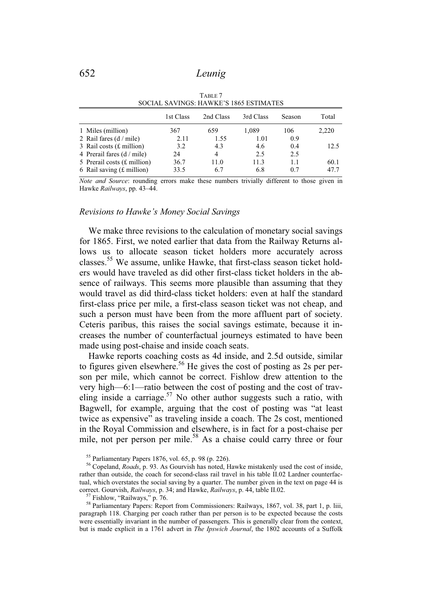|                                | 1st Class | 2nd Class      | 3rd Class | <b>Season</b> | Total |
|--------------------------------|-----------|----------------|-----------|---------------|-------|
| 1 Miles (million)              | 367       | 659            | 1.089     | 106           | 2.220 |
| 2 Rail fares $(d / mile)$      | 2.11      | 1.55           | 1.01      | 0.9           |       |
| 3 Rail costs $(f.$ million)    | 3.2       | 4.3            | 4.6       | 0.4           | 12.5  |
| 4 Prerail fares $(d / mile)$   | 24        | $\overline{4}$ | 2.5       | 2.5           |       |
| 5 Prerail costs $(f.$ million) | 36.7      | 11.0           | 11.3      | 1.1           | 60.1  |
| 6 Rail saving $(f$ million)    | 33.5      | 6.7            | 6.8       | 0.7           | 47.7  |

TABLE 7 SOCIAL SAVINGS: HAWKE'S 1865 ESTIMATES

*Note and Source*: rounding errors make these numbers trivially different to those given in Hawke *Railways*, pp. 43–44.

### *Revisions to Hawke's Money Social Savings*

 We make three revisions to the calculation of monetary social savings for 1865. First, we noted earlier that data from the Railway Returns allows us to allocate season ticket holders more accurately across classes.55 We assume, unlike Hawke, that first-class season ticket holders would have traveled as did other first-class ticket holders in the absence of railways. This seems more plausible than assuming that they would travel as did third-class ticket holders: even at half the standard first-class price per mile, a first-class season ticket was not cheap, and such a person must have been from the more affluent part of society. Ceteris paribus, this raises the social savings estimate, because it increases the number of counterfactual journeys estimated to have been made using post-chaise and inside coach seats.

Hawke reports coaching costs as 4d inside, and 2.5d outside, similar to figures given elsewhere.<sup>56</sup> He gives the cost of posting as 2s per person per mile, which cannot be correct. Fishlow drew attention to the very high—6:1—ratio between the cost of posting and the cost of traveling inside a carriage.<sup>57</sup> No other author suggests such a ratio, with Bagwell, for example, arguing that the cost of posting was "at least twice as expensive" as traveling inside a coach. The 2s cost, mentioned in the Royal Commission and elsewhere, is in fact for a post-chaise per mile, not per person per mile.<sup>58</sup> As a chaise could carry three or four

<sup>55</sup> Parliamentary Papers 1876, vol. 65, p. 98 (p. 226).

<sup>56</sup> Copeland, *Roads*, p. 93. As Gourvish has noted, Hawke mistakenly used the cost of inside, rather than outside, the coach for second-class rail travel in his table II.02 Lardner counterfactual, which overstates the social saving by a quarter. The number given in the text on page 44 is correct. Gourvish, *Railways*, p. 34; and Hawke, *Railways*, p. 44, table II.02. 57 Fishlow, "Railways," p. 76.

<sup>58</sup> Parliamentary Papers: Report from Commissioners: Railways, 1867, vol. 38, part 1, p. liii, paragraph 118. Charging per coach rather than per person is to be expected because the costs were essentially invariant in the number of passengers. This is generally clear from the context, but is made explicit in a 1761 advert in *The Ipswich Journal*, the 1802 accounts of a Suffolk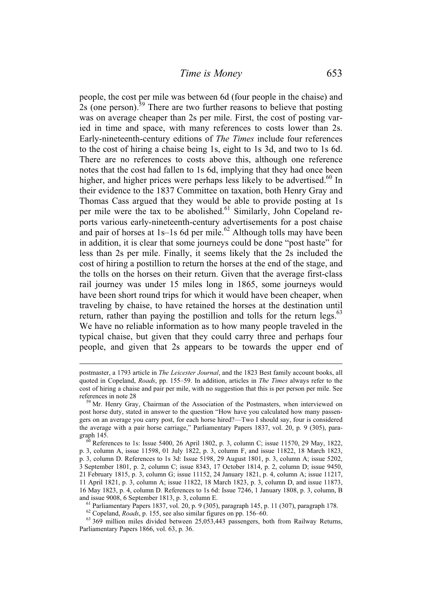people, the cost per mile was between 6d (four people in the chaise) and 2s (one person). $59$  There are two further reasons to believe that posting was on average cheaper than 2s per mile. First, the cost of posting varied in time and space, with many references to costs lower than 2s. Early-nineteenth-century editions of *The Times* include four references to the cost of hiring a chaise being 1s, eight to 1s 3d, and two to 1s 6d. There are no references to costs above this, although one reference notes that the cost had fallen to 1s 6d, implying that they had once been higher, and higher prices were perhaps less likely to be advertised.<sup>60</sup> In their evidence to the 1837 Committee on taxation, both Henry Gray and Thomas Cass argued that they would be able to provide posting at 1s per mile were the tax to be abolished.<sup>61</sup> Similarly, John Copeland reports various early-nineteenth-century advertisements for a post chaise and pair of horses at  $1s-1s$  6d per mile.<sup>62</sup> Although tolls may have been in addition, it is clear that some journeys could be done "post haste" for less than 2s per mile. Finally, it seems likely that the 2s included the cost of hiring a postillion to return the horses at the end of the stage, and the tolls on the horses on their return. Given that the average first-class rail journey was under 15 miles long in 1865, some journeys would have been short round trips for which it would have been cheaper, when traveling by chaise, to have retained the horses at the destination until return, rather than paying the postillion and tolls for the return legs. $63$ We have no reliable information as to how many people traveled in the typical chaise, but given that they could carry three and perhaps four people, and given that 2s appears to be towards the upper end of

 $\overline{a}$ 

postmaster, a 1793 article in *The Leicester Journal*, and the 1823 Best family account books, all quoted in Copeland, *Roads*, pp. 155–59. In addition, articles in *The Times* always refer to the cost of hiring a chaise and pair per mile, with no suggestion that this is per person per mile. See

references in note 28 59 Mr. Henry Gray, Chairman of the Association of the Postmasters, when interviewed on post horse duty, stated in answer to the question "How have you calculated how many passengers on an average you carry post, for each horse hired?—Two I should say, four is considered the average with a pair horse carriage," Parliamentary Papers 1837, vol. 20, p. 9 (305), para-

References to 1s: Issue 5400, 26 April 1802, p. 3, column C; issue 11570, 29 May, 1822, p. 3, column A, issue 11598, 01 July 1822, p. 3, column F, and issue 11822, 18 March 1823, p. 3, column D. References to 1s 3d: Issue 5198, 29 August 1801, p. 3, column A; issue 5202, 3 September 1801, p. 2, column C; issue 8343, 17 October 1814, p. 2, column D; issue 9450, 21 February 1815, p. 3, column G; issue 11152, 24 January 1821, p. 4, column A; issue 11217, 11 April 1821, p. 3, column A; issue 11822, 18 March 1823, p. 3, column D, and issue 11873, 16 May 1823, p. 4, column D. References to 1s 6d: Issue 7246, 1 January 1808, p. 3, column, B and issue 9008, 6 September 1813, p. 3, column E.<br>
<sup>61</sup> Parliamentary Papers 1837, vol. 20, p. 9 (305), paragraph 145, p. 11 (307), paragraph 178.<br>
<sup>62</sup> Copeland, *Roads*, p. 155, see also similar figures on pp. 156–60.

<sup>&</sup>lt;sup>63</sup> 369 million miles divided between 25,053,443 passengers, both from Railway Returns, Parliamentary Papers 1866, vol. 63, p. 36.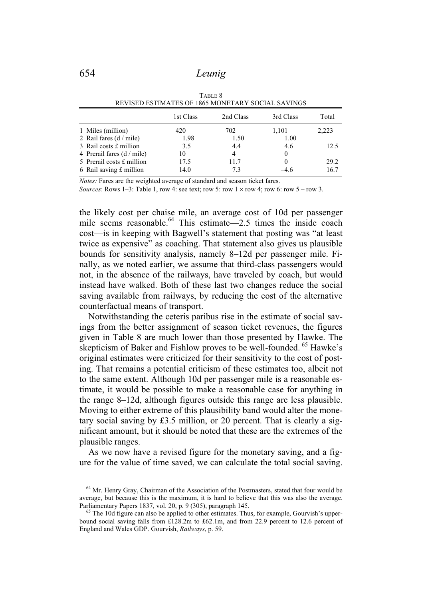|                                 | 1st Class | 2nd Class | 3rd Class | Total |  |
|---------------------------------|-----------|-----------|-----------|-------|--|
| 1 Miles (million)               | 420       | 702       | 1.101     | 2,223 |  |
| 2 Rail fares $(d / mile)$       | 1.98      | 1.50      | 1.00      |       |  |
| 3 Rail costs £ million          | 3.5       | 4.4       | 4.6       | 12.5  |  |
| 4 Prerail fares $(d / mile)$    | 10        | 4         | $\theta$  |       |  |
| 5 Prerail costs £ million       | 17.5      | 11.7      | $_{0}$    | 29.2  |  |
| 6 Rail saving $\pounds$ million | 14.0      | 7.3       | -4.6      | 16.7  |  |

TABLE 8 REVISED ESTIMATES OF 1865 MONETARY SOCIAL SAVINGS

*Notes:* Fares are the weighted average of standard and season ticket fares.

*Sources*: Rows 1–3: Table 1, row 4: see text; row 5: row 1  $\times$  row 4; row 6: row 5 – row 3.

the likely cost per chaise mile, an average cost of 10d per passenger mile seems reasonable.<sup>64</sup> This estimate—2.5 times the inside coach cost—is in keeping with Bagwell's statement that posting was "at least twice as expensive" as coaching. That statement also gives us plausible bounds for sensitivity analysis, namely 8–12d per passenger mile. Finally, as we noted earlier, we assume that third-class passengers would not, in the absence of the railways, have traveled by coach, but would instead have walked. Both of these last two changes reduce the social saving available from railways, by reducing the cost of the alternative counterfactual means of transport.

 Notwithstanding the ceteris paribus rise in the estimate of social savings from the better assignment of season ticket revenues, the figures given in Table 8 are much lower than those presented by Hawke. The skepticism of Baker and Fishlow proves to be well-founded.<sup>65</sup> Hawke's original estimates were criticized for their sensitivity to the cost of posting. That remains a potential criticism of these estimates too, albeit not to the same extent. Although 10d per passenger mile is a reasonable estimate, it would be possible to make a reasonable case for anything in the range 8–12d, although figures outside this range are less plausible. Moving to either extreme of this plausibility band would alter the monetary social saving by £3.5 million, or 20 percent. That is clearly a significant amount, but it should be noted that these are the extremes of the plausible ranges.

 As we now have a revised figure for the monetary saving, and a figure for the value of time saved, we can calculate the total social saving.

 $64$  Mr. Henry Gray, Chairman of the Association of the Postmasters, stated that four would be average, but because this is the maximum, it is hard to believe that this was also the average.<br>Parliamentary Papers 1837, vol. 20, p. 9 (305), paragraph 145.

 $65$  The 10d figure can also be applied to other estimates. Thus, for example, Gourvish's upperbound social saving falls from £128.2m to £62.1m, and from 22.9 percent to 12.6 percent of England and Wales GDP. Gourvish, *Railways*, p. 59.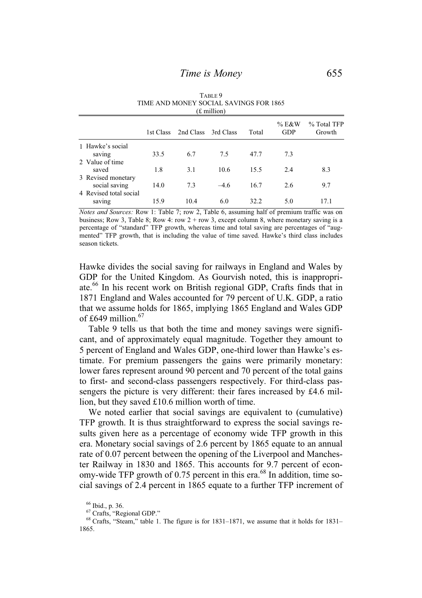| $\mathfrak{r}$ municipally          |           |           |           |       |                       |                       |
|-------------------------------------|-----------|-----------|-----------|-------|-----------------------|-----------------------|
|                                     | 1st Class | 2nd Class | 3rd Class | Total | $%$ E&W<br><b>GDP</b> | % Total TFP<br>Growth |
| 1 Hawke's social<br>saving          | 33.5      | 6.7       | 7.5       | 47.7  | 7.3                   |                       |
| 2 Value of time<br>saved            | 1.8       | 3.1       | 10.6      | 15.5  | 2.4                   | 8.3                   |
| 3 Revised monetary<br>social saving | 14.0      | 7.3       | $-4.6$    | 16.7  | 2.6                   | 9.7                   |
| 4 Revised total social<br>saving    | 15.9      | 10.4      | 6.0       | 32.2  | 5.0                   | 17.1                  |

TABLE 9 TIME AND MONEY SOCIAL SAVINGS FOR 1865 (£ million)

*Notes and Sources:* Row 1: Table 7; row 2, Table 6, assuming half of premium traffic was on business; Row 3, Table 8; Row 4: row  $2 + row 3$ , except column 8, where monetary saving is a percentage of "standard" TFP growth, whereas time and total saving are percentages of "augmented" TFP growth, that is including the value of time saved. Hawke's third class includes season tickets.

Hawke divides the social saving for railways in England and Wales by GDP for the United Kingdom. As Gourvish noted, this is inappropriate.66 In his recent work on British regional GDP, Crafts finds that in 1871 England and Wales accounted for 79 percent of U.K. GDP, a ratio that we assume holds for 1865, implying 1865 England and Wales GDP of £649 million. $67$ 

 Table 9 tells us that both the time and money savings were significant, and of approximately equal magnitude. Together they amount to 5 percent of England and Wales GDP, one-third lower than Hawke's estimate. For premium passengers the gains were primarily monetary: lower fares represent around 90 percent and 70 percent of the total gains to first- and second-class passengers respectively. For third-class passengers the picture is very different: their fares increased by £4.6 million, but they saved £10.6 million worth of time.

 We noted earlier that social savings are equivalent to (cumulative) TFP growth. It is thus straightforward to express the social savings results given here as a percentage of economy wide TFP growth in this era. Monetary social savings of 2.6 percent by 1865 equate to an annual rate of 0.07 percent between the opening of the Liverpool and Manchester Railway in 1830 and 1865. This accounts for 9.7 percent of economy-wide TFP growth of 0.75 percent in this era.<sup>68</sup> In addition, time social savings of 2.4 percent in 1865 equate to a further TFP increment of

<sup>66</sup> Ibid., p. 36.

<sup>67</sup> Crafts, "Regional GDP."

<sup>68</sup> Crafts, "Steam," table 1. The figure is for 1831–1871, we assume that it holds for 1831– 1865.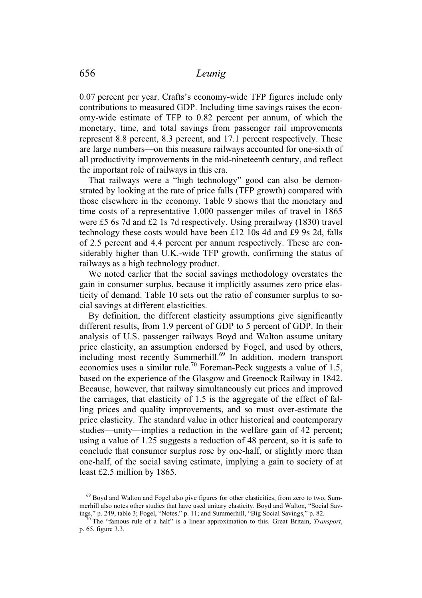0.07 percent per year. Crafts's economy-wide TFP figures include only contributions to measured GDP. Including time savings raises the economy-wide estimate of TFP to 0.82 percent per annum, of which the monetary, time, and total savings from passenger rail improvements represent 8.8 percent, 8.3 percent, and 17.1 percent respectively. These are large numbers—on this measure railways accounted for one-sixth of all productivity improvements in the mid-nineteenth century, and reflect the important role of railways in this era.

 That railways were a "high technology" good can also be demonstrated by looking at the rate of price falls (TFP growth) compared with those elsewhere in the economy. Table 9 shows that the monetary and time costs of a representative 1,000 passenger miles of travel in 1865 were £5 6s 7d and £2 1s 7d respectively. Using prerailway (1830) travel technology these costs would have been £12 10s 4d and £9 9s 2d, falls of 2.5 percent and 4.4 percent per annum respectively. These are considerably higher than U.K.-wide TFP growth, confirming the status of railways as a high technology product.

 We noted earlier that the social savings methodology overstates the gain in consumer surplus, because it implicitly assumes zero price elasticity of demand. Table 10 sets out the ratio of consumer surplus to social savings at different elasticities.

 By definition, the different elasticity assumptions give significantly different results, from 1.9 percent of GDP to 5 percent of GDP. In their analysis of U.S. passenger railways Boyd and Walton assume unitary price elasticity, an assumption endorsed by Fogel, and used by others, including most recently Summerhill.<sup>69</sup> In addition, modern transport economics uses a similar rule.<sup>70</sup> Foreman-Peck suggests a value of 1.5, based on the experience of the Glasgow and Greenock Railway in 1842. Because, however, that railway simultaneously cut prices and improved the carriages, that elasticity of 1.5 is the aggregate of the effect of falling prices and quality improvements, and so must over-estimate the price elasticity. The standard value in other historical and contemporary studies—unity—implies a reduction in the welfare gain of 42 percent; using a value of 1.25 suggests a reduction of 48 percent, so it is safe to conclude that consumer surplus rose by one-half, or slightly more than one-half, of the social saving estimate, implying a gain to society of at least £2.5 million by 1865.

<sup>&</sup>lt;sup>69</sup> Boyd and Walton and Fogel also give figures for other elasticities, from zero to two, Summerhill also notes other studies that have used unitary elasticity. Boyd and Walton, "Social Savings," p. 249, table 3; Fogel, "Notes," p. 11; and Summerhill, "Big Social Savings," p. 82. 70 The "famous rule of a half" is a linear approximation to this. Great Britain, *Transport*,

p. 65, figure 3.3.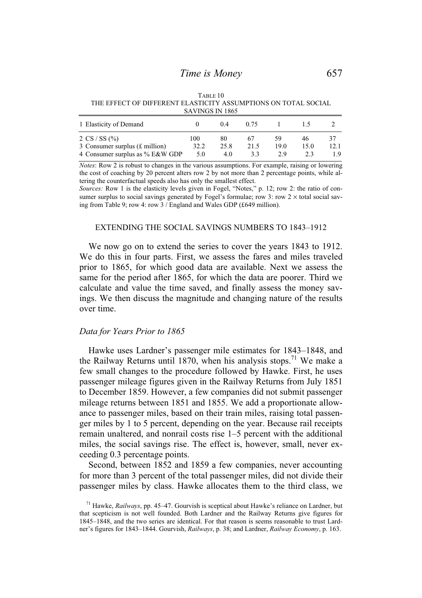# *Time is Money* 657

TABLE 10 THE EFFECT OF DIFFERENT ELASTICITY ASSUMPTIONS ON TOTAL SOCIAL SAVINGS IN 1865

| 1 Elasticity of Demand            |      | 0.4  | 0.75 |      |      |      |
|-----------------------------------|------|------|------|------|------|------|
| 2 CS / SS $(\% )$                 | 100  | 80   | 67   | 59   | 46   |      |
| 3 Consumer surplus $(f.$ million) | 32.2 | 25.8 | 21.5 | 19.0 | 15.0 | 12.1 |
| 4 Consumer surplus as % E&W GDP   | 5.0  | 4.0  | 33   | 29   |      |      |

*Notes*: Row 2 is robust to changes in the various assumptions. For example, raising or lowering the cost of coaching by 20 percent alters row 2 by not more than 2 percentage points, while altering the counterfactual speeds also has only the smallest effect.

*Sources:* Row 1 is the elasticity levels given in Fogel, "Notes," p. 12; row 2: the ratio of consumer surplus to social savings generated by Fogel's formulae; row 3: row  $2 \times$  total social saving from Table 9; row 4: row 3 / England and Wales GDP (£649 million).

#### EXTENDING THE SOCIAL SAVINGS NUMBERS TO 1843–1912

 We now go on to extend the series to cover the years 1843 to 1912. We do this in four parts. First, we assess the fares and miles traveled prior to 1865, for which good data are available. Next we assess the same for the period after 1865, for which the data are poorer. Third we calculate and value the time saved, and finally assess the money savings. We then discuss the magnitude and changing nature of the results over time.

#### *Data for Years Prior to 1865*

 Hawke uses Lardner's passenger mile estimates for 1843–1848, and the Railway Returns until 1870, when his analysis stops.<sup>71</sup> We make a few small changes to the procedure followed by Hawke. First, he uses passenger mileage figures given in the Railway Returns from July 1851 to December 1859. However, a few companies did not submit passenger mileage returns between 1851 and 1855. We add a proportionate allowance to passenger miles, based on their train miles, raising total passenger miles by 1 to 5 percent, depending on the year. Because rail receipts remain unaltered, and nonrail costs rise 1–5 percent with the additional miles, the social savings rise. The effect is, however, small, never exceeding 0.3 percentage points.

 Second, between 1852 and 1859 a few companies, never accounting for more than 3 percent of the total passenger miles, did not divide their passenger miles by class. Hawke allocates them to the third class, we

<sup>71</sup> Hawke, *Railways*, pp. 45–47. Gourvish is sceptical about Hawke's reliance on Lardner, but that scepticism is not well founded. Both Lardner and the Railway Returns give figures for 1845–1848, and the two series are identical. For that reason is seems reasonable to trust Lardner's figures for 1843–1844. Gourvish, *Railways*, p. 38; and Lardner, *Railway Economy*, p. 163.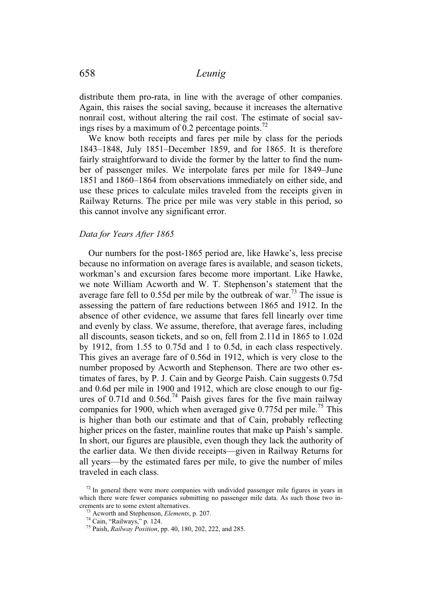distribute them pro-rata, in line with the average of other companies. Again, this raises the social saving, because it increases the alternative nonrail cost, without altering the rail cost. The estimate of social savings rises by a maximum of 0.2 percentage points.<sup>72</sup>

 We know both receipts and fares per mile by class for the periods 1843–1848, July 1851–December 1859, and for 1865. It is therefore fairly straightforward to divide the former by the latter to find the number of passenger miles. We interpolate fares per mile for 1849–June 1851 and 1860–1864 from observations immediately on either side, and use these prices to calculate miles traveled from the receipts given in Railway Returns. The price per mile was very stable in this period, so this cannot involve any significant error.

## *Data for Years After 1865*

 Our numbers for the post-1865 period are, like Hawke's, less precise because no information on average fares is available, and season tickets, workman's and excursion fares become more important. Like Hawke, we note William Acworth and W. T. Stephenson's statement that the average fare fell to 0.55d per mile by the outbreak of war.<sup>73</sup> The issue is assessing the pattern of fare reductions between 1865 and 1912. In the absence of other evidence, we assume that fares fell linearly over time and evenly by class. We assume, therefore, that average fares, including all discounts, season tickets, and so on, fell from 2.11d in 1865 to 1.02d by 1912, from 1.55 to 0.75d and 1 to 0.5d, in each class respectively. This gives an average fare of 0.56d in 1912, which is very close to the number proposed by Acworth and Stephenson. There are two other estimates of fares, by P. J. Cain and by George Paish. Cain suggests 0.75d and 0.6d per mile in 1900 and 1912, which are close enough to our figures of  $0.71d$  and  $0.56d<sup>74</sup>$  Paish gives fares for the five main railway companies for 1900, which when averaged give 0.775d per mile.<sup>75</sup> This is higher than both our estimate and that of Cain, probably reflecting higher prices on the faster, mainline routes that make up Paish's sample. In short, our figures are plausible, even though they lack the authority of the earlier data. We then divide receipts—given in Railway Returns for all years—by the estimated fares per mile, to give the number of miles traveled in each class.

 $72$  In general there were more companies with undivided passenger mile figures in years in which there were fewer companies submitting no passenger mile data. As such those two in-<br>crements are to some extent alternatives.

<sup>&</sup>lt;sup>73</sup> Acworth and Stephenson, *Elements*, p. 207.<br><sup>74</sup> Cain, "Railways," p. 124.

<sup>75</sup> Paish, *Railway Position*, pp. 40, 180, 202, 222, and 285.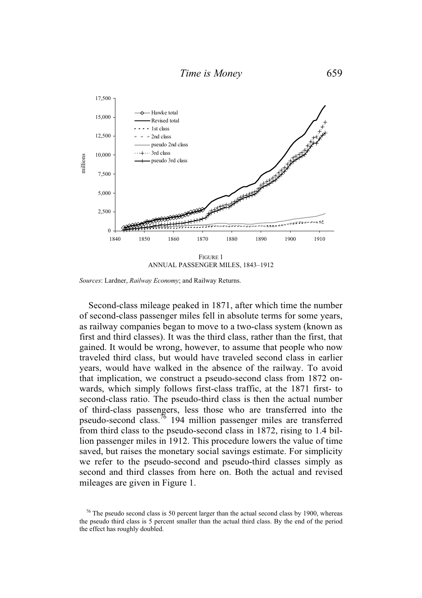

*Sources*: Lardner, *Railway Economy*; and Railway Returns.

Second-class mileage peaked in 1871, after which time the number of second-class passenger miles fell in absolute terms for some years, as railway companies began to move to a two-class system (known as first and third classes). It was the third class, rather than the first, that gained. It would be wrong, however, to assume that people who now traveled third class, but would have traveled second class in earlier years, would have walked in the absence of the railway. To avoid that implication, we construct a pseudo-second class from 1872 onwards, which simply follows first-class traffic, at the 1871 first- to second-class ratio. The pseudo-third class is then the actual number of third-class passengers, less those who are transferred into the pseudo-second class.<sup>76</sup> 194 million passenger miles are transferred from third class to the pseudo-second class in 1872, rising to 1.4 billion passenger miles in 1912. This procedure lowers the value of time saved, but raises the monetary social savings estimate. For simplicity we refer to the pseudo-second and pseudo-third classes simply as second and third classes from here on. Both the actual and revised mileages are given in Figure 1.

 $76$  The pseudo second class is 50 percent larger than the actual second class by 1900, whereas the pseudo third class is 5 percent smaller than the actual third class. By the end of the period the effect has roughly doubled.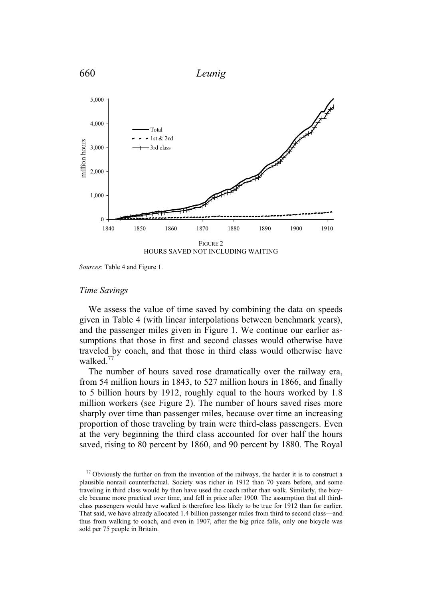

*Sources*: Table 4 and Figure 1.

### *Time Savings*

 We assess the value of time saved by combining the data on speeds given in Table 4 (with linear interpolations between benchmark years), and the passenger miles given in Figure 1. We continue our earlier assumptions that those in first and second classes would otherwise have traveled by coach, and that those in third class would otherwise have walked.<sup>77</sup>

 The number of hours saved rose dramatically over the railway era, from 54 million hours in 1843, to 527 million hours in 1866, and finally to 5 billion hours by 1912, roughly equal to the hours worked by 1.8 million workers (see Figure 2). The number of hours saved rises more sharply over time than passenger miles, because over time an increasing proportion of those traveling by train were third-class passengers. Even at the very beginning the third class accounted for over half the hours saved, rising to 80 percent by 1860, and 90 percent by 1880. The Royal

 $77$  Obviously the further on from the invention of the railways, the harder it is to construct a plausible nonrail counterfactual. Society was richer in 1912 than 70 years before, and some traveling in third class would by then have used the coach rather than walk. Similarly, the bicycle became more practical over time, and fell in price after 1900. The assumption that all thirdclass passengers would have walked is therefore less likely to be true for 1912 than for earlier. That said, we have already allocated 1.4 billion passenger miles from third to second class—and thus from walking to coach, and even in 1907, after the big price falls, only one bicycle was sold per 75 people in Britain.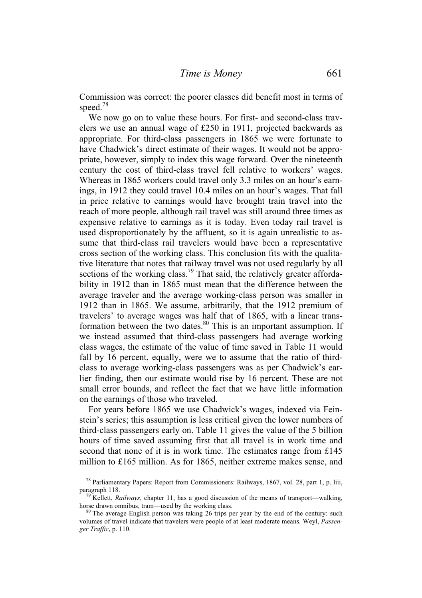Commission was correct: the poorer classes did benefit most in terms of speed.78

 We now go on to value these hours. For first- and second-class travelers we use an annual wage of £250 in 1911, projected backwards as appropriate. For third-class passengers in 1865 we were fortunate to have Chadwick's direct estimate of their wages. It would not be appropriate, however, simply to index this wage forward. Over the nineteenth century the cost of third-class travel fell relative to workers' wages. Whereas in 1865 workers could travel only 3.3 miles on an hour's earnings, in 1912 they could travel 10.4 miles on an hour's wages. That fall in price relative to earnings would have brought train travel into the reach of more people, although rail travel was still around three times as expensive relative to earnings as it is today. Even today rail travel is used disproportionately by the affluent, so it is again unrealistic to assume that third-class rail travelers would have been a representative cross section of the working class. This conclusion fits with the qualitative literature that notes that railway travel was not used regularly by all sections of the working class.<sup>79</sup> That said, the relatively greater affordability in 1912 than in 1865 must mean that the difference between the average traveler and the average working-class person was smaller in 1912 than in 1865. We assume, arbitrarily, that the 1912 premium of travelers' to average wages was half that of 1865, with a linear transformation between the two dates. $80$  This is an important assumption. If we instead assumed that third-class passengers had average working class wages, the estimate of the value of time saved in Table 11 would fall by 16 percent, equally, were we to assume that the ratio of thirdclass to average working-class passengers was as per Chadwick's earlier finding, then our estimate would rise by 16 percent. These are not small error bounds, and reflect the fact that we have little information on the earnings of those who traveled.

 For years before 1865 we use Chadwick's wages, indexed via Feinstein's series; this assumption is less critical given the lower numbers of third-class passengers early on. Table 11 gives the value of the 5 billion hours of time saved assuming first that all travel is in work time and second that none of it is in work time. The estimates range from £145 million to £165 million. As for 1865, neither extreme makes sense, and

 $^{78}$  Parliamentary Papers: Report from Commissioners: Railways, 1867, vol. 28, part 1, p. liii,

paragraph 118. <sup>79</sup> Kellett, *Railways*, chapter 11, has a good discussion of the means of transport—walking, horse drawn omnibus, tram—used by the working class.

 $80$  The average English person was taking 26 trips per year by the end of the century: such volumes of travel indicate that travelers were people of at least moderate means. Weyl, *Passenger Traffic*, p. 110.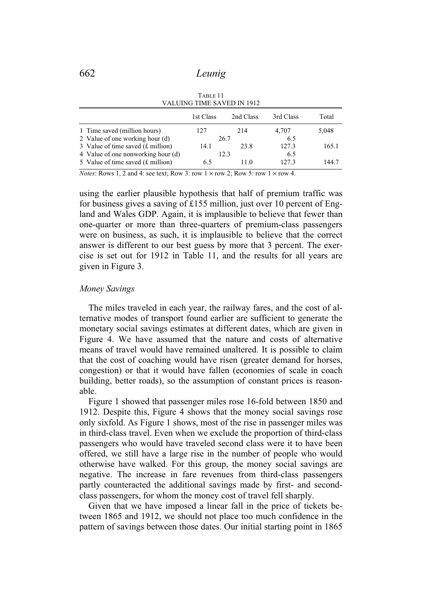| 662 | Leunig |
|-----|--------|
|     |        |

| VALUING TIME SAVED IN 1912           |           |           |           |       |  |
|--------------------------------------|-----------|-----------|-----------|-------|--|
|                                      | 1st Class | 2nd Class | 3rd Class | Total |  |
| 1 Time saved (million hours)         | 127       | 214       | 4,707     | 5,048 |  |
| 2 Value of one working hour (d)      | 26.7      |           | 6.5       |       |  |
| 3 Value of time saved $(f.$ million) | 14.1      | 23.8      | 127.3     | 165.1 |  |
| 4 Value of one nonworking hour (d)   | 12.3      |           | 6.5       |       |  |
| 5 Value of time saved $(f.$ million) | 6.5       | 11.0      | 127.3     | 144.7 |  |

TABLE 11

*Notes*: Rows 1, 2 and 4: see text; Row 3: row  $1 \times$  row 2; Row 5: row  $1 \times$  row 4.

using the earlier plausible hypothesis that half of premium traffic was for business gives a saving of £155 million, just over 10 percent of England and Wales GDP. Again, it is implausible to believe that fewer than one-quarter or more than three-quarters of premium-class passengers were on business, as such, it is implausible to believe that the correct answer is different to our best guess by more that 3 percent. The exercise is set out for 1912 in Table 11, and the results for all years are given in Figure 3.

#### *Money Savings*

 The miles traveled in each year, the railway fares, and the cost of alternative modes of transport found earlier are sufficient to generate the monetary social savings estimates at different dates, which are given in Figure 4. We have assumed that the nature and costs of alternative means of travel would have remained unaltered. It is possible to claim that the cost of coaching would have risen (greater demand for horses, congestion) or that it would have fallen (economies of scale in coach building, better roads), so the assumption of constant prices is reasonable.

 Figure 1 showed that passenger miles rose 16-fold between 1850 and 1912. Despite this, Figure 4 shows that the money social savings rose only sixfold. As Figure 1 shows, most of the rise in passenger miles was in third-class travel. Even when we exclude the proportion of third-class passengers who would have traveled second class were it to have been offered, we still have a large rise in the number of people who would otherwise have walked. For this group, the money social savings are negative. The increase in fare revenues from third-class passengers partly counteracted the additional savings made by first- and secondclass passengers, for whom the money cost of travel fell sharply.

 Given that we have imposed a linear fall in the price of tickets between 1865 and 1912, we should not place too much confidence in the pattern of savings between those dates. Our initial starting point in 1865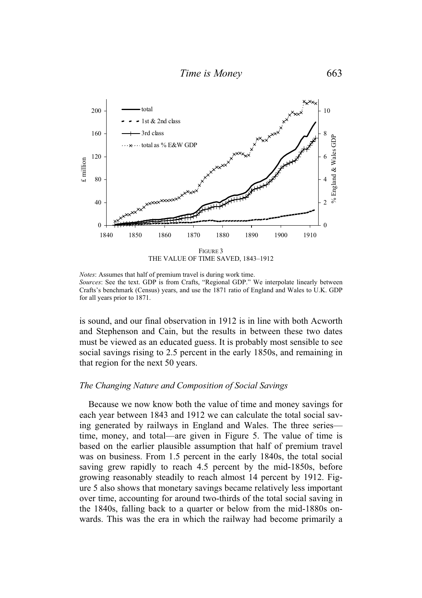

*Notes*: Assumes that half of premium travel is during work time. *Sources*: See the text. GDP is from Crafts, "Regional GDP." We interpolate linearly between Crafts's benchmark (Census) years, and use the 1871 ratio of England and Wales to U.K. GDP for all years prior to 1871.

is sound, and our final observation in 1912 is in line with both Acworth and Stephenson and Cain, but the results in between these two dates must be viewed as an educated guess. It is probably most sensible to see social savings rising to 2.5 percent in the early 1850s, and remaining in that region for the next 50 years.

### *The Changing Nature and Composition of Social Savings*

 Because we now know both the value of time and money savings for each year between 1843 and 1912 we can calculate the total social saving generated by railways in England and Wales. The three series time, money, and total—are given in Figure 5. The value of time is based on the earlier plausible assumption that half of premium travel was on business. From 1.5 percent in the early 1840s, the total social saving grew rapidly to reach 4.5 percent by the mid-1850s, before growing reasonably steadily to reach almost 14 percent by 1912. Figure 5 also shows that monetary savings became relatively less important over time, accounting for around two-thirds of the total social saving in the 1840s, falling back to a quarter or below from the mid-1880s onwards. This was the era in which the railway had become primarily a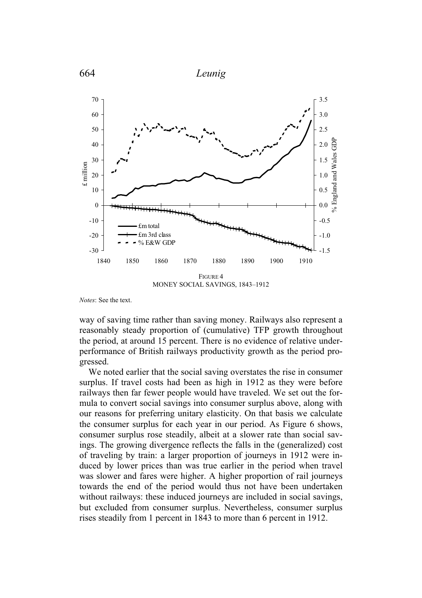



*Notes*: See the text.

way of saving time rather than saving money. Railways also represent a reasonably steady proportion of (cumulative) TFP growth throughout the period, at around 15 percent. There is no evidence of relative underperformance of British railways productivity growth as the period progressed.

 We noted earlier that the social saving overstates the rise in consumer surplus. If travel costs had been as high in 1912 as they were before railways then far fewer people would have traveled. We set out the formula to convert social savings into consumer surplus above, along with our reasons for preferring unitary elasticity. On that basis we calculate the consumer surplus for each year in our period. As Figure 6 shows, consumer surplus rose steadily, albeit at a slower rate than social savings. The growing divergence reflects the falls in the (generalized) cost of traveling by train: a larger proportion of journeys in 1912 were induced by lower prices than was true earlier in the period when travel was slower and fares were higher. A higher proportion of rail journeys towards the end of the period would thus not have been undertaken without railways: these induced journeys are included in social savings, but excluded from consumer surplus. Nevertheless, consumer surplus rises steadily from 1 percent in 1843 to more than 6 percent in 1912.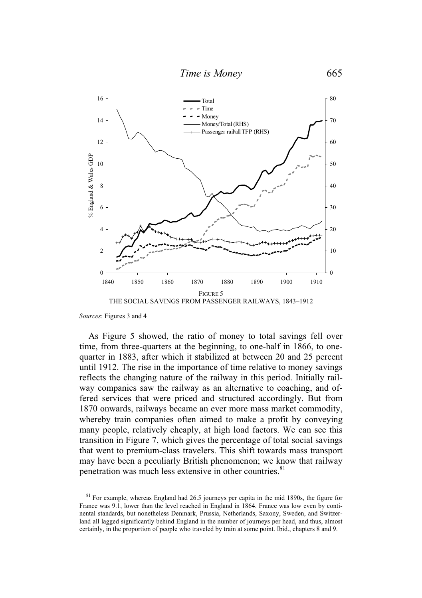

*Sources*: Figures 3 and 4

 As Figure 5 showed, the ratio of money to total savings fell over time, from three-quarters at the beginning, to one-half in 1866, to onequarter in 1883, after which it stabilized at between 20 and 25 percent until 1912. The rise in the importance of time relative to money savings reflects the changing nature of the railway in this period. Initially railway companies saw the railway as an alternative to coaching, and offered services that were priced and structured accordingly. But from 1870 onwards, railways became an ever more mass market commodity, whereby train companies often aimed to make a profit by conveying many people, relatively cheaply, at high load factors. We can see this transition in Figure 7, which gives the percentage of total social savings that went to premium-class travelers. This shift towards mass transport may have been a peculiarly British phenomenon; we know that railway penetration was much less extensive in other countries.<sup>81</sup>

<sup>&</sup>lt;sup>81</sup> For example, whereas England had 26.5 journeys per capita in the mid 1890s, the figure for France was 9.1, lower than the level reached in England in 1864. France was low even by continental standards, but nonetheless Denmark, Prussia, Netherlands, Saxony, Sweden, and Switzerland all lagged significantly behind England in the number of journeys per head, and thus, almost certainly, in the proportion of people who traveled by train at some point. Ibid., chapters 8 and 9.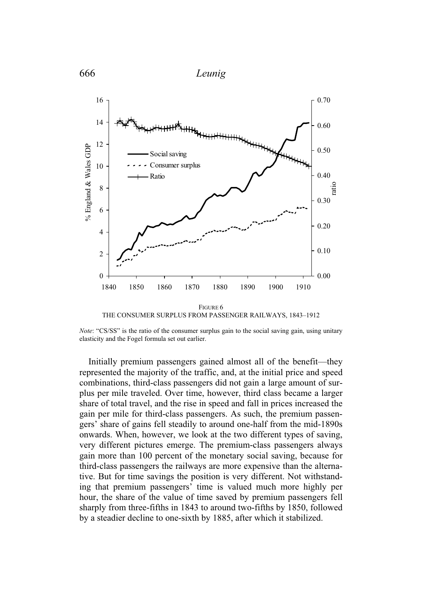

THE CONSUMER SURPLUS FROM PASSENGER RAILWAYS, 1843–1912

 Initially premium passengers gained almost all of the benefit—they represented the majority of the traffic, and, at the initial price and speed combinations, third-class passengers did not gain a large amount of surplus per mile traveled. Over time, however, third class became a larger share of total travel, and the rise in speed and fall in prices increased the gain per mile for third-class passengers. As such, the premium passengers' share of gains fell steadily to around one-half from the mid-1890s onwards. When, however, we look at the two different types of saving, very different pictures emerge. The premium-class passengers always gain more than 100 percent of the monetary social saving, because for third-class passengers the railways are more expensive than the alternative. But for time savings the position is very different. Not withstanding that premium passengers' time is valued much more highly per hour, the share of the value of time saved by premium passengers fell sharply from three-fifths in 1843 to around two-fifths by 1850, followed by a steadier decline to one-sixth by 1885, after which it stabilized.

*Note*: "CS/SS" is the ratio of the consumer surplus gain to the social saving gain, using unitary elasticity and the Fogel formula set out earlier.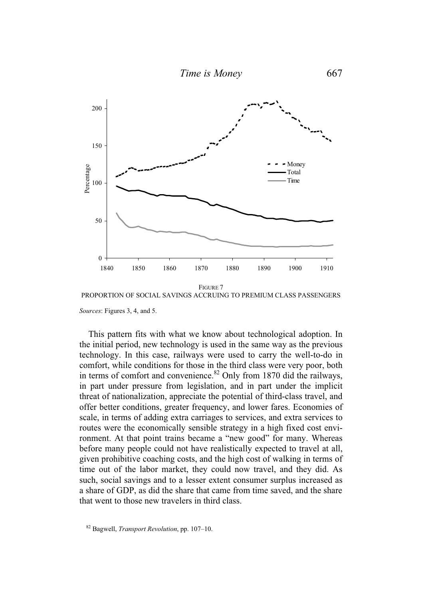

PROPORTION OF SOCIAL SAVINGS ACCRUING TO PREMIUM CLASS PASSENGERS

*Sources*: Figures 3, 4, and 5.

 This pattern fits with what we know about technological adoption. In the initial period, new technology is used in the same way as the previous technology. In this case, railways were used to carry the well-to-do in comfort, while conditions for those in the third class were very poor, both in terms of comfort and convenience. $82$  Only from 1870 did the railways, in part under pressure from legislation, and in part under the implicit threat of nationalization, appreciate the potential of third-class travel, and offer better conditions, greater frequency, and lower fares. Economies of scale, in terms of adding extra carriages to services, and extra services to routes were the economically sensible strategy in a high fixed cost environment. At that point trains became a "new good" for many. Whereas before many people could not have realistically expected to travel at all, given prohibitive coaching costs, and the high cost of walking in terms of time out of the labor market, they could now travel, and they did. As such, social savings and to a lesser extent consumer surplus increased as a share of GDP, as did the share that came from time saved, and the share that went to those new travelers in third class.

<sup>82</sup> Bagwell, *Transport Revolution*, pp. 107–10.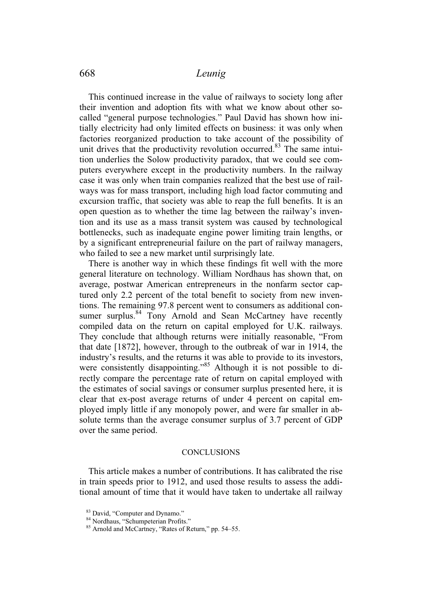This continued increase in the value of railways to society long after their invention and adoption fits with what we know about other socalled "general purpose technologies." Paul David has shown how initially electricity had only limited effects on business: it was only when factories reorganized production to take account of the possibility of unit drives that the productivity revolution occurred.<sup>83</sup> The same intuition underlies the Solow productivity paradox, that we could see computers everywhere except in the productivity numbers. In the railway case it was only when train companies realized that the best use of railways was for mass transport, including high load factor commuting and excursion traffic, that society was able to reap the full benefits. It is an open question as to whether the time lag between the railway's invention and its use as a mass transit system was caused by technological bottlenecks, such as inadequate engine power limiting train lengths, or by a significant entrepreneurial failure on the part of railway managers, who failed to see a new market until surprisingly late.

 There is another way in which these findings fit well with the more general literature on technology. William Nordhaus has shown that, on average, postwar American entrepreneurs in the nonfarm sector captured only 2.2 percent of the total benefit to society from new inventions. The remaining 97.8 percent went to consumers as additional consumer surplus.<sup>84</sup> Tony Arnold and Sean McCartney have recently compiled data on the return on capital employed for U.K. railways. They conclude that although returns were initially reasonable, "From that date [1872], however, through to the outbreak of war in 1914, the industry's results, and the returns it was able to provide to its investors, were consistently disappointing."<sup>85</sup> Although it is not possible to directly compare the percentage rate of return on capital employed with the estimates of social savings or consumer surplus presented here, it is clear that ex-post average returns of under 4 percent on capital employed imply little if any monopoly power, and were far smaller in absolute terms than the average consumer surplus of 3.7 percent of GDP over the same period.

#### **CONCLUSIONS**

 This article makes a number of contributions. It has calibrated the rise in train speeds prior to 1912, and used those results to assess the additional amount of time that it would have taken to undertake all railway

<sup>83</sup> David, "Computer and Dynamo."

<sup>84</sup> Nordhaus, "Schumpeterian Profits."

<sup>&</sup>lt;sup>85</sup> Arnold and McCartney, "Rates of Return," pp. 54–55.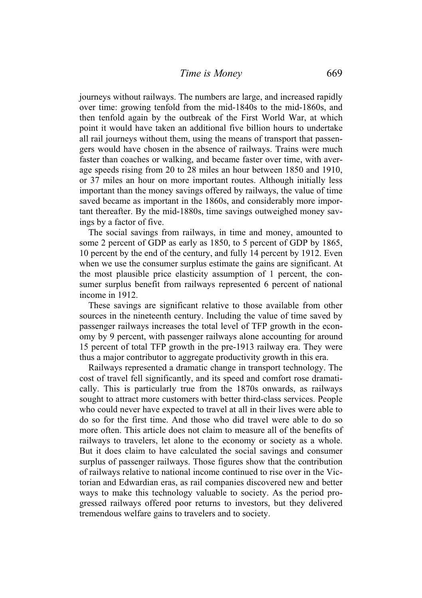journeys without railways. The numbers are large, and increased rapidly over time: growing tenfold from the mid-1840s to the mid-1860s, and then tenfold again by the outbreak of the First World War, at which point it would have taken an additional five billion hours to undertake all rail journeys without them, using the means of transport that passengers would have chosen in the absence of railways. Trains were much faster than coaches or walking, and became faster over time, with average speeds rising from 20 to 28 miles an hour between 1850 and 1910, or 37 miles an hour on more important routes. Although initially less important than the money savings offered by railways, the value of time saved became as important in the 1860s, and considerably more important thereafter. By the mid-1880s, time savings outweighed money savings by a factor of five.

 The social savings from railways, in time and money, amounted to some 2 percent of GDP as early as 1850, to 5 percent of GDP by 1865, 10 percent by the end of the century, and fully 14 percent by 1912. Even when we use the consumer surplus estimate the gains are significant. At the most plausible price elasticity assumption of 1 percent, the consumer surplus benefit from railways represented 6 percent of national income in 1912.

 These savings are significant relative to those available from other sources in the nineteenth century. Including the value of time saved by passenger railways increases the total level of TFP growth in the economy by 9 percent, with passenger railways alone accounting for around 15 percent of total TFP growth in the pre-1913 railway era. They were thus a major contributor to aggregate productivity growth in this era.

 Railways represented a dramatic change in transport technology. The cost of travel fell significantly, and its speed and comfort rose dramatically. This is particularly true from the 1870s onwards, as railways sought to attract more customers with better third-class services. People who could never have expected to travel at all in their lives were able to do so for the first time. And those who did travel were able to do so more often. This article does not claim to measure all of the benefits of railways to travelers, let alone to the economy or society as a whole. But it does claim to have calculated the social savings and consumer surplus of passenger railways. Those figures show that the contribution of railways relative to national income continued to rise over in the Victorian and Edwardian eras, as rail companies discovered new and better ways to make this technology valuable to society. As the period progressed railways offered poor returns to investors, but they delivered tremendous welfare gains to travelers and to society.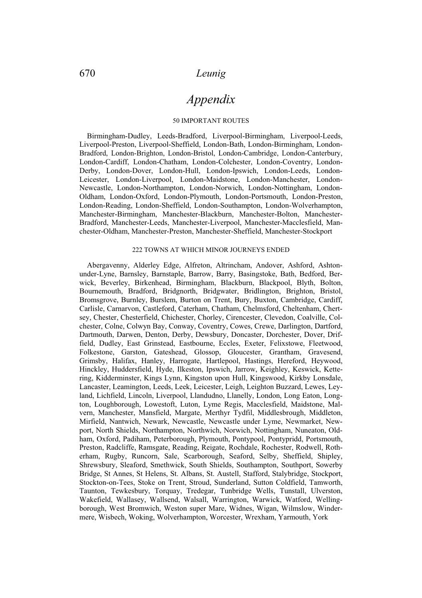# *Appendix*

#### 50 IMPORTANT ROUTES

Birmingham-Dudley, Leeds-Bradford, Liverpool-Birmingham, Liverpool-Leeds, Liverpool-Preston, Liverpool-Sheffield, London-Bath, London-Birmingham, London-Bradford, London-Brighton, London-Bristol, London-Cambridge, London-Canterbury, London-Cardiff, London-Chatham, London-Colchester, London-Coventry, London-Derby, London-Dover, London-Hull, London-Ipswich, London-Leeds, London-Leicester, London-Liverpool, London-Maidstone, London-Manchester, London-Newcastle, London-Northampton, London-Norwich, London-Nottingham, London-Oldham, London-Oxford, London-Plymouth, London-Portsmouth, London-Preston, London-Reading, London-Sheffield, London-Southampton, London-Wolverhampton, Manchester-Birmingham, Manchester-Blackburn, Manchester-Bolton, Manchester-Bradford, Manchester-Leeds, Manchester-Liverpool, Manchester-Macclesfield, Manchester-Oldham, Manchester-Preston, Manchester-Sheffield, Manchester-Stockport

#### 222 TOWNS AT WHICH MINOR JOURNEYS ENDED

Abergavenny, Alderley Edge, Alfreton, Altrincham, Andover, Ashford, Ashtonunder-Lyne, Barnsley, Barnstaple, Barrow, Barry, Basingstoke, Bath, Bedford, Berwick, Beverley, Birkenhead, Birmingham, Blackburn, Blackpool, Blyth, Bolton, Bournemouth, Bradford, Bridgnorth, Bridgwater, Bridlington, Brighton, Bristol, Bromsgrove, Burnley, Burslem, Burton on Trent, Bury, Buxton, Cambridge, Cardiff, Carlisle, Carnarvon, Castleford, Caterham, Chatham, Chelmsford, Cheltenham, Chertsey, Chester, Chesterfield, Chichester, Chorley, Cirencester, Clevedon, Coalville, Colchester, Colne, Colwyn Bay, Conway, Coventry, Cowes, Crewe, Darlington, Dartford, Dartmouth, Darwen, Denton, Derby, Dewsbury, Doncaster, Dorchester, Dover, Driffield, Dudley, East Grinstead, Eastbourne, Eccles, Exeter, Felixstowe, Fleetwood, Folkestone, Garston, Gateshead, Glossop, Gloucester, Grantham, Gravesend, Grimsby, Halifax, Hanley, Harrogate, Hartlepool, Hastings, Hereford, Heywood, Hinckley, Huddersfield, Hyde, Ilkeston, Ipswich, Jarrow, Keighley, Keswick, Kettering, Kidderminster, Kings Lynn, Kingston upon Hull, Kingswood, Kirkby Lonsdale, Lancaster, Leamington, Leeds, Leek, Leicester, Leigh, Leighton Buzzard, Lewes, Leyland, Lichfield, Lincoln, Liverpool, Llandudno, Llanelly, London, Long Eaton, Longton, Loughborough, Lowestoft, Luton, Lyme Regis, Macclesfield, Maidstone, Malvern, Manchester, Mansfield, Margate, Merthyr Tydfil, Middlesbrough, Middleton, Mirfield, Nantwich, Newark, Newcastle, Newcastle under Lyme, Newmarket, Newport, North Shields, Northampton, Northwich, Norwich, Nottingham, Nuneaton, Oldham, Oxford, Padiham, Peterborough, Plymouth, Pontypool, Pontypridd, Portsmouth, Preston, Radcliffe, Ramsgate, Reading, Reigate, Rochdale, Rochester, Rodwell, Rotherham, Rugby, Runcorn, Sale, Scarborough, Seaford, Selby, Sheffield, Shipley, Shrewsbury, Sleaford, Smethwick, South Shields, Southampton, Southport, Sowerby Bridge, St Annes, St Helens, St. Albans, St. Austell, Stafford, Stalybridge, Stockport, Stockton-on-Tees, Stoke on Trent, Stroud, Sunderland, Sutton Coldfield, Tamworth, Taunton, Tewkesbury, Torquay, Tredegar, Tunbridge Wells, Tunstall, Ulverston, Wakefield, Wallasey, Wallsend, Walsall, Warrington, Warwick, Watford, Wellingborough, West Bromwich, Weston super Mare, Widnes, Wigan, Wilmslow, Windermere, Wisbech, Woking, Wolverhampton, Worcester, Wrexham, Yarmouth, York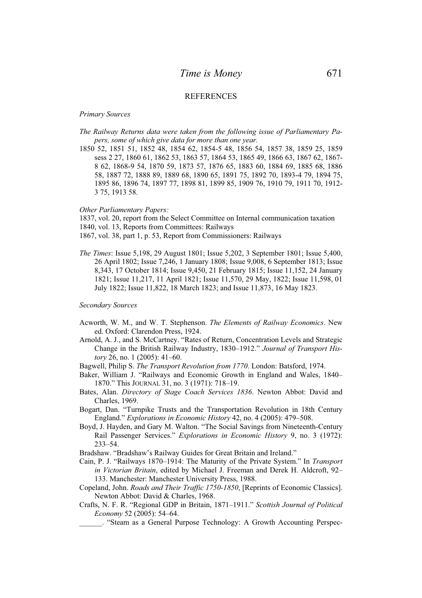# *Time is Money* 671

#### REFERENCES

#### *Primary Sources*

- *The Railway Returns data were taken from the following issue of Parliamentary Papers, some of which give data for more than one year.*
- 1850 52, 1851 51, 1852 48, 1854 62, 1854-5 48, 1856 54, 1857 38, 1859 25, 1859 sess 2 27, 1860 61, 1862 53, 1863 57, 1864 53, 1865 49, 1866 63, 1867 62, 1867- 8 62, 1868-9 54, 1870 59, 1873 57, 1876 65, 1883 60, 1884 69, 1885 68, 1886 58, 1887 72, 1888 89, 1889 68, 1890 65, 1891 75, 1892 70, 1893-4 79, 1894 75, 1895 86, 1896 74, 1897 77, 1898 81, 1899 85, 1909 76, 1910 79, 1911 70, 1912- 3 75, 1913 58.

#### *Other Parliamentary Papers:*

- 1837, vol. 20, report from the Select Committee on Internal communication taxation 1840, vol. 13, Reports from Committees: Railways
- 1867, vol. 38, part 1, p. 53, Report from Commissioners: Railways
- *The Times*: Issue 5,198, 29 August 1801; Issue 5,202, 3 September 1801; Issue 5,400, 26 April 1802; Issue 7,246, 1 January 1808; Issue 9,008, 6 September 1813; Issue 8,343, 17 October 1814; Issue 9,450, 21 February 1815; Issue 11,152, 24 January 1821; Issue 11,217, 11 April 1821; Issue 11,570, 29 May, 1822; Issue 11,598, 01 July 1822; Issue 11,822, 18 March 1823; and Issue 11,873, 16 May 1823.

#### *Secondary Sources*

- Acworth, W. M., and W. T. Stephenson. *The Elements of Railway Economics*. New ed. Oxford: Clarendon Press, 1924.
- Arnold, A. J., and S. McCartney. "Rates of Return, Concentration Levels and Strategic Change in the British Railway Industry, 1830–1912." *Journal of Transport History* 26, no. 1 (2005): 41–60.
- Bagwell, Philip S. *The Transport Revolution from 1770*. London: Batsford, 1974.
- Baker, William J. "Railways and Economic Growth in England and Wales, 1840– 1870." This JOURNAL 31, no. 3 (1971): 718–19.
- Bates, Alan. *Directory of Stage Coach Services 1836*. Newton Abbot: David and Charles, 1969.
- Bogart, Dan. "Turnpike Trusts and the Transportation Revolution in 18th Century England." *Explorations in Economic History* 42, no. 4 (2005): 479–508.
- Boyd, J. Hayden, and Gary M. Walton. "The Social Savings from Nineteenth-Century Rail Passenger Services." *Explorations in Economic History* 9, no. 3 (1972): 233–54.
- Bradshaw. "Bradshaw's Railway Guides for Great Britain and Ireland."
- Cain, P. J. "Railways 1870–1914: The Maturity of the Private System." In *Transport in Victorian Britain*, edited by Michael J. Freeman and Derek H. Aldcroft, 92– 133. Manchester: Manchester University Press, 1988.
- Copeland, John. *Roads and Their Traffic 1750-1850*, [Reprints of Economic Classics]. Newton Abbot: David & Charles, 1968.
- Crafts, N. F. R. "Regional GDP in Britain, 1871–1911." *Scottish Journal of Political Economy* 52 (2005): 54–64.
	- \_\_\_\_\_\_. "Steam as a General Purpose Technology: A Growth Accounting Perspec-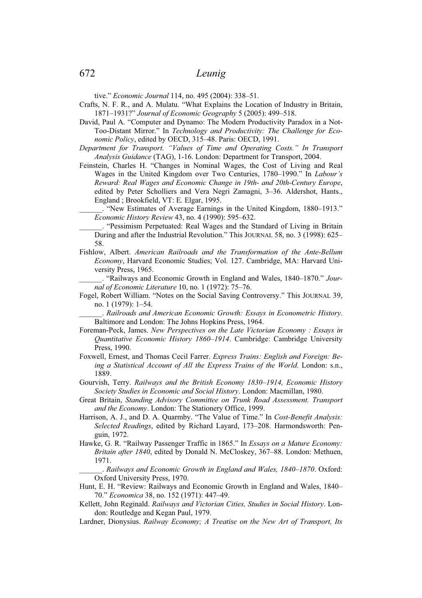tive." *Economic Journal* 114, no. 495 (2004): 338–51.

- Crafts, N. F. R., and A. Mulatu. "What Explains the Location of Industry in Britain, 1871–1931?" *Journal of Economic Geography* 5 (2005): 499–518.
- David, Paul A. "Computer and Dynamo: The Modern Productivity Paradox in a Not-Too-Distant Mirror." In *Technology and Productivity: The Challenge for Economic Policy*, edited by OECD, 315–48. Paris: OECD, 1991.
- *Department for Transport. "Values of Time and Operating Costs." In Transport Analysis Guidance* (TAG), 1-16. London: Department for Transport, 2004.
- Feinstein, Charles H. "Changes in Nominal Wages, the Cost of Living and Real Wages in the United Kingdom over Two Centuries, 1780–1990." In *Labour's Reward: Real Wages and Economic Change in 19th- and 20th-Century Europe*, edited by Peter Scholliers and Vera Negri Zamagni, 3–36. Aldershot, Hants., England ; Brookfield, VT: E. Elgar, 1995.

\_\_\_\_\_\_. "New Estimates of Average Earnings in the United Kingdom, 1880–1913." *Economic History Review* 43, no. 4 (1990): 595–632.

- \_\_\_\_\_\_. "Pessimism Perpetuated: Real Wages and the Standard of Living in Britain During and after the Industrial Revolution." This JOURNAL 58, no. 3 (1998): 625– 58.
- Fishlow, Albert. *American Railroads and the Transformation of the Ante-Bellum Economy*, Harvard Economic Studies; Vol. 127. Cambridge, MA: Harvard University Press, 1965.
	- \_\_\_\_\_\_. "Railways and Economic Growth in England and Wales, 1840–1870." *Journal of Economic Literature* 10, no. 1 (1972): 75–76.
- Fogel, Robert William. "Notes on the Social Saving Controversy." This JOURNAL 39, no. 1 (1979): 1–54.

\_\_\_\_\_\_. *Railroads and American Economic Growth: Essays in Econometric History*. Baltimore and London: The Johns Hopkins Press, 1964.

- Foreman-Peck, James. *New Perspectives on the Late Victorian Economy : Essays in Quantitative Economic History 1860–1914*. Cambridge: Cambridge University Press, 1990.
- Foxwell, Ernest, and Thomas Cecil Farrer. *Express Trains: English and Foreign: Being a Statistical Account of All the Express Trains of the World*. London: s.n., 1889.
- Gourvish, Terry. *Railways and the British Economy 1830–1914, Economic History Society Studies in Economic and Social History*. London: Macmillan, 1980.
- Great Britain, *Standing Advisory Committee on Trunk Road Assessment. Transport and the Economy*. London: The Stationery Office, 1999.
- Harrison, A. J., and D. A. Quarmby. "The Value of Time." In *Cost-Benefit Analysis: Selected Readings*, edited by Richard Layard, 173–208. Harmondsworth: Penguin, 1972.
- Hawke, G. R. "Railway Passenger Traffic in 1865." In *Essays on a Mature Economy: Britain after 1840*, edited by Donald N. McCloskey, 367–88. London: Methuen, 1971.

\_\_\_\_\_\_. *Railways and Economic Growth in England and Wales, 1840–1870*. Oxford: Oxford University Press, 1970.

- Hunt, E. H. "Review: Railways and Economic Growth in England and Wales, 1840– 70." *Economica* 38, no. 152 (1971): 447–49.
- Kellett, John Reginald. *Railways and Victorian Cities, Studies in Social History*. London: Routledge and Kegan Paul, 1979.
- Lardner, Dionysius. *Railway Economy; A Treatise on the New Art of Transport, Its*